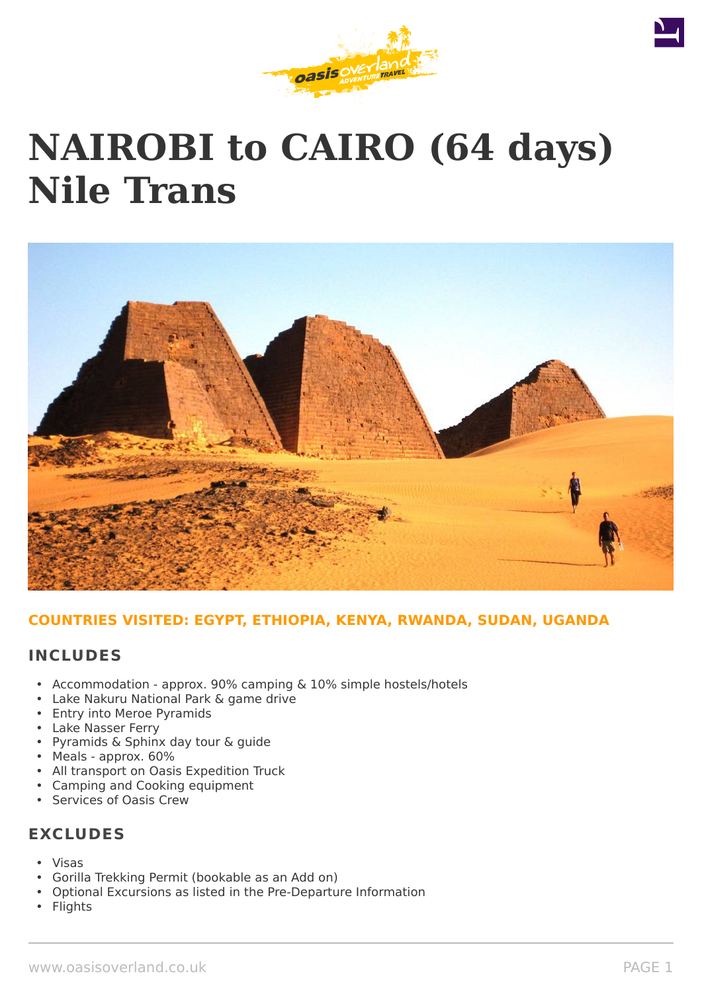

# **NAIROBI to CAIRO (64 days) Nile Trans**



#### **COUNTRIES VISITED: EGYPT, ETHIOPIA, KENYA, RWANDA, SUDAN, UGANDA**

#### **INCLUDES**

- Accommodation approx. 90% camping & 10% simple hostels/hotels
- Lake Nakuru National Park & game drive
- Entry into Meroe Pyramids
- Lake Nasser Ferry
- Pyramids & Sphinx day tour & guide
- Meals approx. 60%
- All transport on Oasis Expedition Truck
- Camping and Cooking equipment
- Services of Oasis Crew

# **EXCLUDES**

- Visas
- Gorilla Trekking Permit (bookable as an Add on)
- Optional Excursions as listed in the Pre-Departure Information
- **Flights**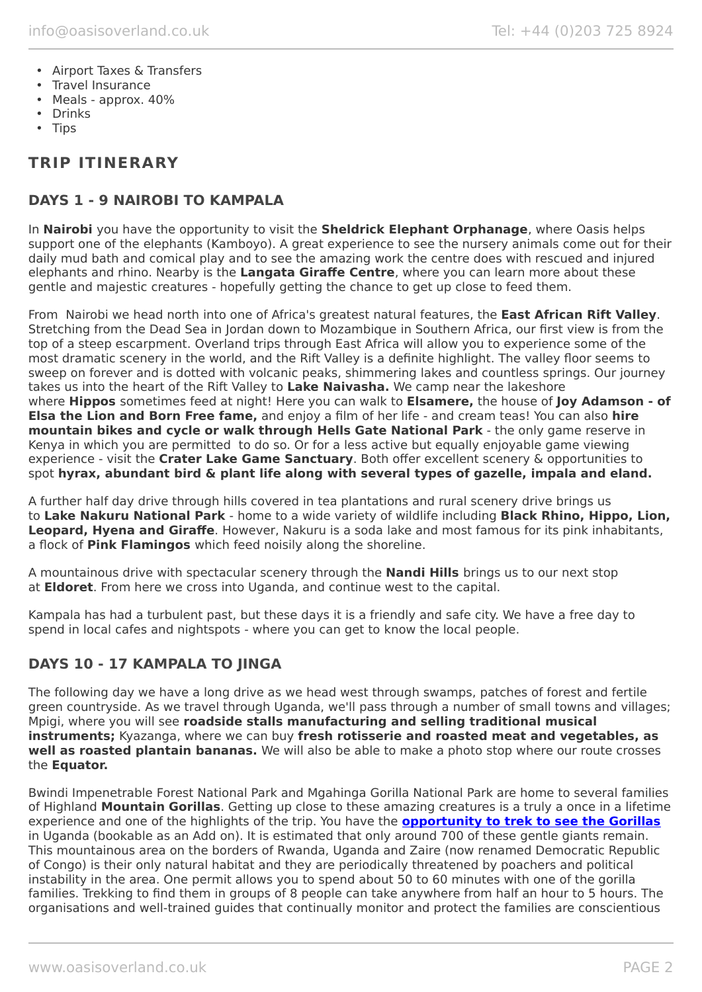- Airport Taxes & Transfers
- Travel Insurance
- Meals approx. 40%
- Drinks
- Tips

# **TRIP ITINERARY**

### **DAYS 1 - 9 NAIROBI TO KAMPALA**

In **Nairobi** you have the opportunity to visit the **Sheldrick Elephant Orphanage**, where Oasis helps support one of the elephants (Kamboyo). A great experience to see the nursery animals come out for their daily mud bath and comical play and to see the amazing work the centre does with rescued and injured elephants and rhino. Nearby is the **Langata Giraffe Centre**, where you can learn more about these gentle and majestic creatures - hopefully getting the chance to get up close to feed them.

From Nairobi we head north into one of Africa's greatest natural features, the **East African Rift Valley**. Stretching from the Dead Sea in Jordan down to Mozambique in Southern Africa, our first view is from the top of a steep escarpment. Overland trips through East Africa will allow you to experience some of the most dramatic scenery in the world, and the Rift Valley is a definite highlight. The valley floor seems to sweep on forever and is dotted with volcanic peaks, shimmering lakes and countless springs. Our journey takes us into the heart of the Rift Valley to **Lake Naivasha.** We camp near the lakeshore where **Hippos** sometimes feed at night! Here you can walk to **Elsamere,** the house of **Joy Adamson - of Elsa the Lion and Born Free fame,** and enjoy a film of her life - and cream teas! You can also **hire mountain bikes and cycle or walk through Hells Gate National Park** - the only game reserve in Kenya in which you are permitted to do so. Or for a less active but equally enjoyable game viewing experience - visit the **Crater Lake Game Sanctuary**. Both offer excellent scenery & opportunities to spot **hyrax, abundant bird & plant life along with several types of gazelle, impala and eland.**

A further half day drive through hills covered in tea plantations and rural scenery drive brings us to **Lake Nakuru National Park** - home to a wide variety of wildlife including **Black Rhino, Hippo, Lion, Leopard, Hyena and Giraffe**. However, Nakuru is a soda lake and most famous for its pink inhabitants, a flock of **Pink Flamingos** which feed noisily along the shoreline.

A mountainous drive with spectacular scenery through the **Nandi Hills** brings us to our next stop at **Eldoret**. From here we cross into Uganda, and continue west to the capital.

Kampala has had a turbulent past, but these days it is a friendly and safe city. We have a free day to spend in local cafes and nightspots - where you can get to know the local people.

# **DAYS 10 - 17 KAMPALA TO JINGA**

The following day we have a long drive as we head west through swamps, patches of forest and fertile green countryside. As we travel through Uganda, we'll pass through a number of small towns and villages; Mpigi, where you will see **roadside stalls manufacturing and selling traditional musical instruments;** Kyazanga, where we can buy **fresh rotisserie and roasted meat and vegetables, as well as roasted plantain bananas.** We will also be able to make a photo stop where our route crosses the **Equator.**

Bwindi Impenetrable Forest National Park and Mgahinga Gorilla National Park are home to several families of Highland **Mountain Gorillas**. Getting up close to these amazing creatures is a truly a once in a lifetime experience and one of the highlights of the trip. You have the **[opportunity to trek to see the Gorillas](https://www.oasisoverland.co.uk/mountain-gorilla-trek)** in Uganda (bookable as an Add on). It is estimated that only around 700 of these gentle giants remain. This mountainous area on the borders of Rwanda, Uganda and Zaire (now renamed Democratic Republic of Congo) is their only natural habitat and they are periodically threatened by poachers and political instability in the area. One permit allows you to spend about 50 to 60 minutes with one of the gorilla families. Trekking to find them in groups of 8 people can take anywhere from half an hour to 5 hours. The organisations and well-trained guides that continually monitor and protect the families are conscientious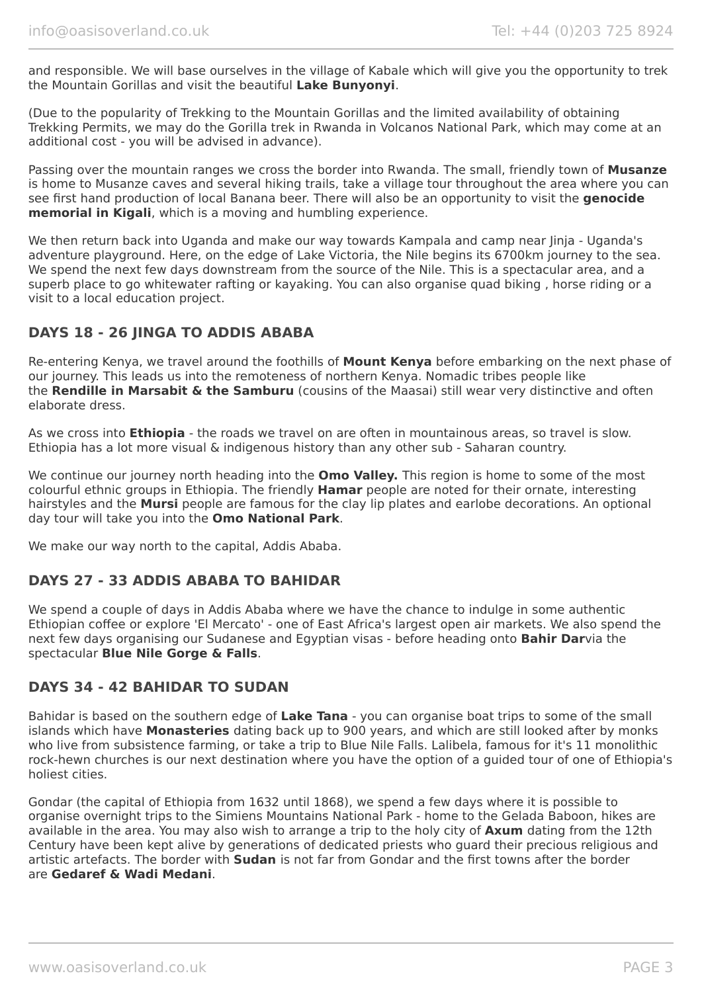and responsible. We will base ourselves in the village of Kabale which will give you the opportunity to trek the Mountain Gorillas and visit the beautiful **Lake Bunyonyi**.

(Due to the popularity of Trekking to the Mountain Gorillas and the limited availability of obtaining Trekking Permits, we may do the Gorilla trek in Rwanda in Volcanos National Park, which may come at an additional cost - you will be advised in advance).

Passing over the mountain ranges we cross the border into Rwanda. The small, friendly town of **Musanze** is home to Musanze caves and several hiking trails, take a village tour throughout the area where you can see first hand production of local Banana beer. There will also be an opportunity to visit the **genocide memorial in Kigali**, which is a moving and humbling experience.

We then return back into Uganda and make our way towards Kampala and camp near Jinja - Uganda's adventure playground. Here, on the edge of Lake Victoria, the Nile begins its 6700km journey to the sea. We spend the next few days downstream from the source of the Nile. This is a spectacular area, and a superb place to go whitewater rafting or kayaking. You can also organise quad biking , horse riding or a visit to a local education project.

# **DAYS 18 - 26 JINGA TO ADDIS ABABA**

Re-entering Kenya, we travel around the foothills of **Mount Kenya** before embarking on the next phase of our journey. This leads us into the remoteness of northern Kenya. Nomadic tribes people like the **Rendille in Marsabit & the Samburu** (cousins of the Maasai) still wear very distinctive and often elaborate dress.

As we cross into **Ethiopia** - the roads we travel on are often in mountainous areas, so travel is slow. Ethiopia has a lot more visual & indigenous history than any other sub - Saharan country.

We continue our journey north heading into the **Omo Valley.** This region is home to some of the most colourful ethnic groups in Ethiopia. The friendly **Hamar** people are noted for their ornate, interesting hairstyles and the **Mursi** people are famous for the clay lip plates and earlobe decorations. An optional day tour will take you into the **Omo National Park**.

We make our way north to the capital, Addis Ababa.

#### **DAYS 27 - 33 ADDIS ABABA TO BAHIDAR**

We spend a couple of days in Addis Ababa where we have the chance to indulge in some authentic Ethiopian coffee or explore 'El Mercato' - one of East Africa's largest open air markets. We also spend the next few days organising our Sudanese and Egyptian visas - before heading onto **Bahir Dar**via the spectacular **Blue Nile Gorge & Falls**.

#### **DAYS 34 - 42 BAHIDAR TO SUDAN**

Bahidar is based on the southern edge of **Lake Tana** - you can organise boat trips to some of the small islands which have **Monasteries** dating back up to 900 years, and which are still looked after by monks who live from subsistence farming, or take a trip to Blue Nile Falls. Lalibela, famous for it's 11 monolithic rock-hewn churches is our next destination where you have the option of a guided tour of one of Ethiopia's holiest cities.

Gondar (the capital of Ethiopia from 1632 until 1868), we spend a few days where it is possible to organise overnight trips to the Simiens Mountains National Park - home to the Gelada Baboon, hikes are available in the area. You may also wish to arrange a trip to the holy city of **Axum** dating from the 12th Century have been kept alive by generations of dedicated priests who guard their precious religious and artistic artefacts. The border with **Sudan** is not far from Gondar and the first towns after the border are **Gedaref & Wadi Medani**.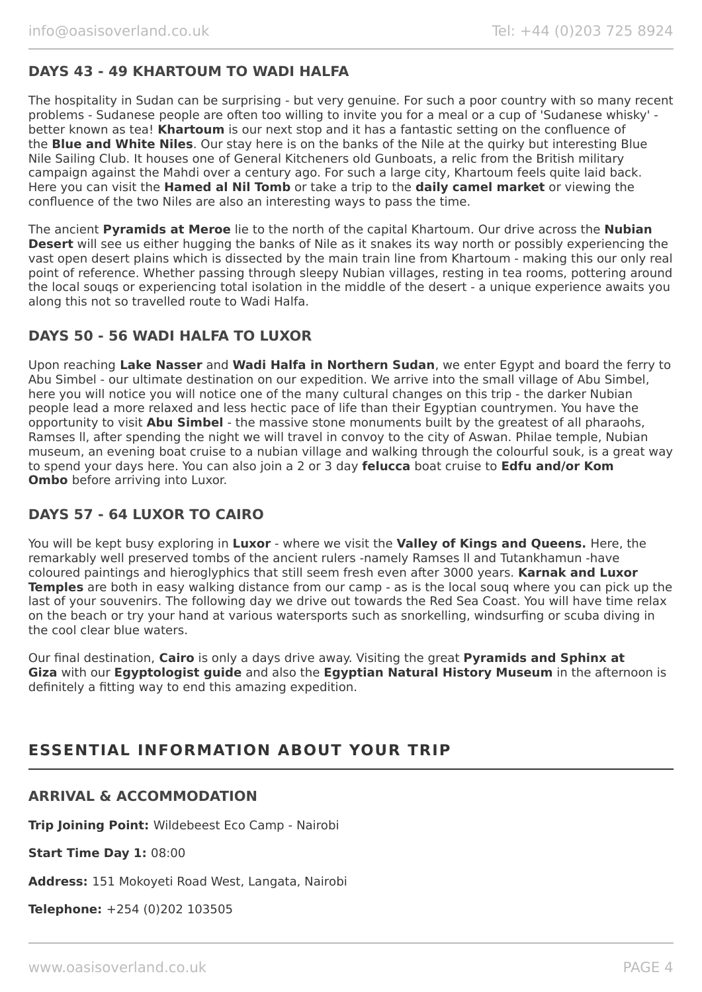# **DAYS 43 - 49 KHARTOUM TO WADI HALFA**

The hospitality in Sudan can be surprising - but very genuine. For such a poor country with so many recent problems - Sudanese people are often too willing to invite you for a meal or a cup of 'Sudanese whisky' better known as tea! **Khartoum** is our next stop and it has a fantastic setting on the confluence of the **Blue and White Niles**. Our stay here is on the banks of the Nile at the quirky but interesting Blue Nile Sailing Club. It houses one of General Kitcheners old Gunboats, a relic from the British military campaign against the Mahdi over a century ago. For such a large city, Khartoum feels quite laid back. Here you can visit the **Hamed al Nil Tomb** or take a trip to the **daily camel market** or viewing the confluence of the two Niles are also an interesting ways to pass the time.

The ancient **Pyramids at Meroe** lie to the north of the capital Khartoum. Our drive across the **Nubian Desert** will see us either hugging the banks of Nile as it snakes its way north or possibly experiencing the vast open desert plains which is dissected by the main train line from Khartoum - making this our only real point of reference. Whether passing through sleepy Nubian villages, resting in tea rooms, pottering around the local souqs or experiencing total isolation in the middle of the desert - a unique experience awaits you along this not so travelled route to Wadi Halfa.

#### **DAYS 50 - 56 WADI HALFA TO LUXOR**

Upon reaching **Lake Nasser** and **Wadi Halfa in Northern Sudan**, we enter Egypt and board the ferry to Abu Simbel - our ultimate destination on our expedition. We arrive into the small village of Abu Simbel, here you will notice you will notice one of the many cultural changes on this trip - the darker Nubian people lead a more relaxed and less hectic pace of life than their Egyptian countrymen. You have the opportunity to visit **Abu Simbel** - the massive stone monuments built by the greatest of all pharaohs, Ramses ll, after spending the night we will travel in convoy to the city of Aswan. Philae temple, Nubian museum, an evening boat cruise to a nubian village and walking through the colourful souk, is a great way to spend your days here. You can also join a 2 or 3 day **felucca** boat cruise to **Edfu and/or Kom Ombo** before arriving into Luxor.

#### **DAYS 57 - 64 LUXOR TO CAIRO**

You will be kept busy exploring in **Luxor** - where we visit the **Valley of Kings and Queens.** Here, the remarkably well preserved tombs of the ancient rulers -namely Ramses ll and Tutankhamun -have coloured paintings and hieroglyphics that still seem fresh even after 3000 years. **Karnak and Luxor Temples** are both in easy walking distance from our camp - as is the local souq where you can pick up the last of your souvenirs. The following day we drive out towards the Red Sea Coast. You will have time relax on the beach or try your hand at various watersports such as snorkelling, windsurfing or scuba diving in the cool clear blue waters.

Our final destination, **Cairo** is only a days drive away. Visiting the great **Pyramids and Sphinx at Giza** with our **Egyptologist guide** and also the **Egyptian Natural History Museum** in the afternoon is definitely a fitting way to end this amazing expedition.

# **ESSENTIAL INFORMATION ABOUT YOUR TRIP**

#### **ARRIVAL & ACCOMMODATION**

**Trip Joining Point:** Wildebeest Eco Camp - Nairobi

**Start Time Day 1:** 08:00

**Address:** 151 Mokoyeti Road West, Langata, Nairobi

**Telephone:** +254 (0)202 103505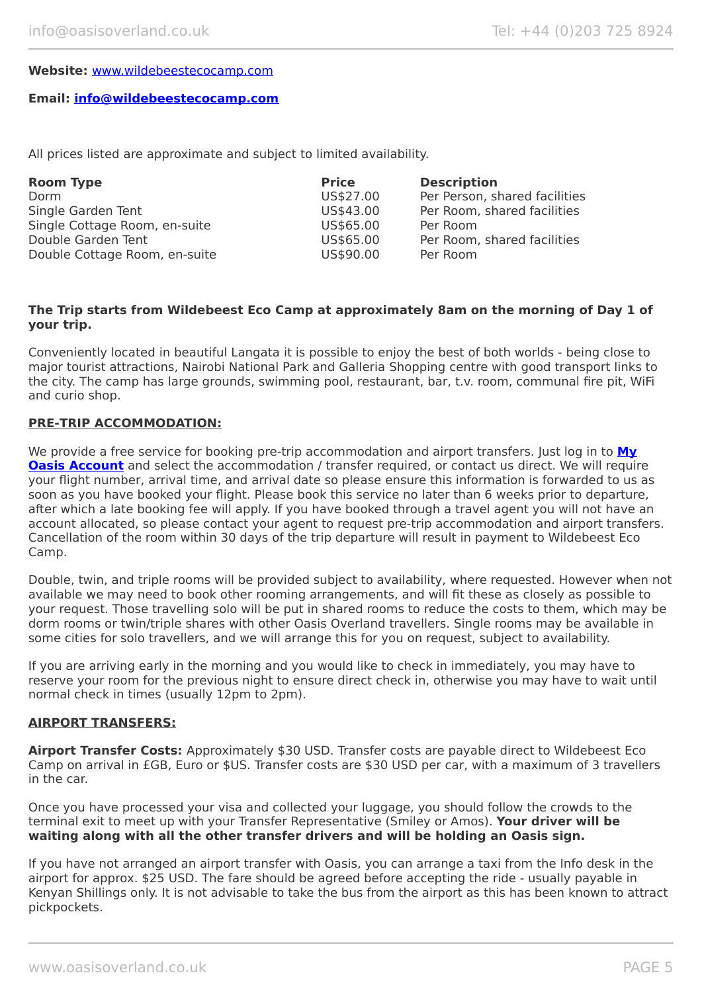#### **Website:** [www.wildebeestecocamp.com](http://www.wildebeestecocamp.com/)

#### **Email: [info@wildebeestecocamp.com](mailto:info@wildebeestecocamp.com)**

All prices listed are approximate and subject to limited availability.

| <b>Room Type</b>              | <b>Price</b> | <b>Description</b>            |
|-------------------------------|--------------|-------------------------------|
| Dorm                          | US\$27.00    | Per Person, shared facilities |
| Single Garden Tent            | US\$43.00    | Per Room, shared facilities   |
| Single Cottage Room, en-suite | US\$65.00    | Per Room                      |
| Double Garden Tent            | US\$65.00    | Per Room, shared facilities   |
| Double Cottage Room, en-suite | US\$90.00    | Per Room                      |

#### **The Trip starts from Wildebeest Eco Camp at approximately 8am on the morning of Day 1 of your trip.**

Conveniently located in beautiful Langata it is possible to enjoy the best of both worlds - being close to major tourist attractions, Nairobi National Park and Galleria Shopping centre with good transport links to the city. The camp has large grounds, swimming pool, restaurant, bar, t.v. room, communal fire pit, WiFi and curio shop.

#### **PRE-TRIP ACCOMMODATION:**

We provide a free service for booking pre-trip accommodation and airport transfers. Just log in to **[My](https://oasisportal.eecsoftware.com/login.php) [Oasis Account](https://oasisportal.eecsoftware.com/login.php)** and select the accommodation / transfer required, or contact us direct. We will require your flight number, arrival time, and arrival date so please ensure this information is forwarded to us as soon as you have booked your flight. Please book this service no later than 6 weeks prior to departure, after which a late booking fee will apply. If you have booked through a travel agent you will not have an account allocated, so please contact your agent to request pre-trip accommodation and airport transfers. Cancellation of the room within 30 days of the trip departure will result in payment to Wildebeest Eco Camp.

Double, twin, and triple rooms will be provided subject to availability, where requested. However when not available we may need to book other rooming arrangements, and will fit these as closely as possible to your request. Those travelling solo will be put in shared rooms to reduce the costs to them, which may be dorm rooms or twin/triple shares with other Oasis Overland travellers. Single rooms may be available in some cities for solo travellers, and we will arrange this for you on request, subject to availability.

If you are arriving early in the morning and you would like to check in immediately, you may have to reserve your room for the previous night to ensure direct check in, otherwise you may have to wait until normal check in times (usually 12pm to 2pm).

#### **AIRPORT TRANSFERS:**

**Airport Transfer Costs:** Approximately \$30 USD. Transfer costs are payable direct to Wildebeest Eco Camp on arrival in £GB, Euro or \$US. Transfer costs are \$30 USD per car, with a maximum of 3 travellers in the car.

Once you have processed your visa and collected your luggage, you should follow the crowds to the terminal exit to meet up with your Transfer Representative (Smiley or Amos). **Your driver will be waiting along with all the other transfer drivers and will be holding an Oasis sign.**

If you have not arranged an airport transfer with Oasis, you can arrange a taxi from the Info desk in the airport for approx. \$25 USD. The fare should be agreed before accepting the ride - usually payable in Kenyan Shillings only. It is not advisable to take the bus from the airport as this has been known to attract pickpockets.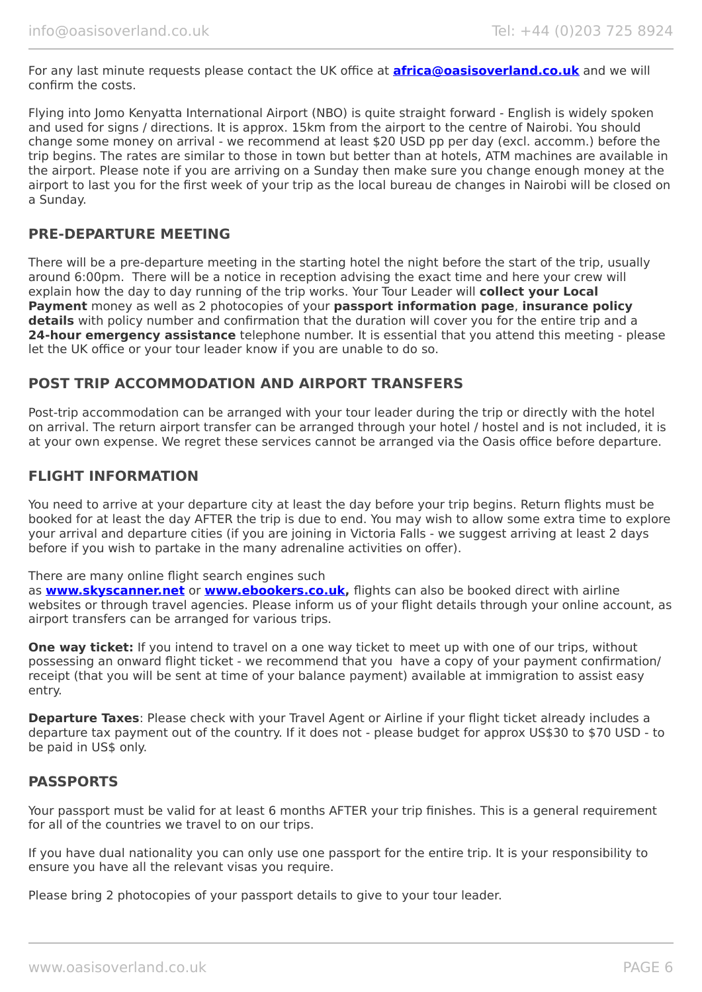For any last minute requests please contact the UK office at **[africa@oasisoverland.co.uk](mailto:africa@oasisoverland.co.uk)** and we will confirm the costs.

Flying into Jomo Kenyatta International Airport (NBO) is quite straight forward - English is widely spoken and used for signs / directions. It is approx. 15km from the airport to the centre of Nairobi. You should change some money on arrival - we recommend at least \$20 USD pp per day (excl. accomm.) before the trip begins. The rates are similar to those in town but better than at hotels, ATM machines are available in the airport. Please note if you are arriving on a Sunday then make sure you change enough money at the airport to last you for the first week of your trip as the local bureau de changes in Nairobi will be closed on a Sunday.

#### **PRE-DEPARTURE MEETING**

There will be a pre-departure meeting in the starting hotel the night before the start of the trip, usually around 6:00pm. There will be a notice in reception advising the exact time and here your crew will explain how the day to day running of the trip works. Your Tour Leader will **collect your Local Payment** money as well as 2 photocopies of your **passport information page**, **insurance policy details** with policy number and confirmation that the duration will cover you for the entire trip and a **24-hour emergency assistance** telephone number. It is essential that you attend this meeting - please let the UK office or your tour leader know if you are unable to do so.

#### **POST TRIP ACCOMMODATION AND AIRPORT TRANSFERS**

Post-trip accommodation can be arranged with your tour leader during the trip or directly with the hotel on arrival. The return airport transfer can be arranged through your hotel / hostel and is not included, it is at your own expense. We regret these services cannot be arranged via the Oasis office before departure.

#### **FLIGHT INFORMATION**

You need to arrive at your departure city at least the day before your trip begins. Return flights must be booked for at least the day AFTER the trip is due to end. You may wish to allow some extra time to explore your arrival and departure cities (if you are joining in Victoria Falls - we suggest arriving at least 2 days before if you wish to partake in the many adrenaline activities on offer).

There are many online flight search engines such

as **[www.skyscanner.net](http://www.dpbolvw.net/click-5720161-10639348)** or **[www.ebookers.co.uk,](http://www.ebookers.co.uk/)** flights can also be booked direct with airline websites or through travel agencies. Please inform us of your flight details through your online account, as airport transfers can be arranged for various trips.

**One way ticket:** If you intend to travel on a one way ticket to meet up with one of our trips, without possessing an onward flight ticket - we recommend that you have a copy of your payment confirmation/ receipt (that you will be sent at time of your balance payment) available at immigration to assist easy entry.

**Departure Taxes**: Please check with your Travel Agent or Airline if your flight ticket already includes a departure tax payment out of the country. If it does not - please budget for approx US\$30 to \$70 USD - to be paid in US\$ only.

#### **PASSPORTS**

Your passport must be valid for at least 6 months AFTER your trip finishes. This is a general requirement for all of the countries we travel to on our trips.

If you have dual nationality you can only use one passport for the entire trip. It is your responsibility to ensure you have all the relevant visas you require.

Please bring 2 photocopies of your passport details to give to your tour leader.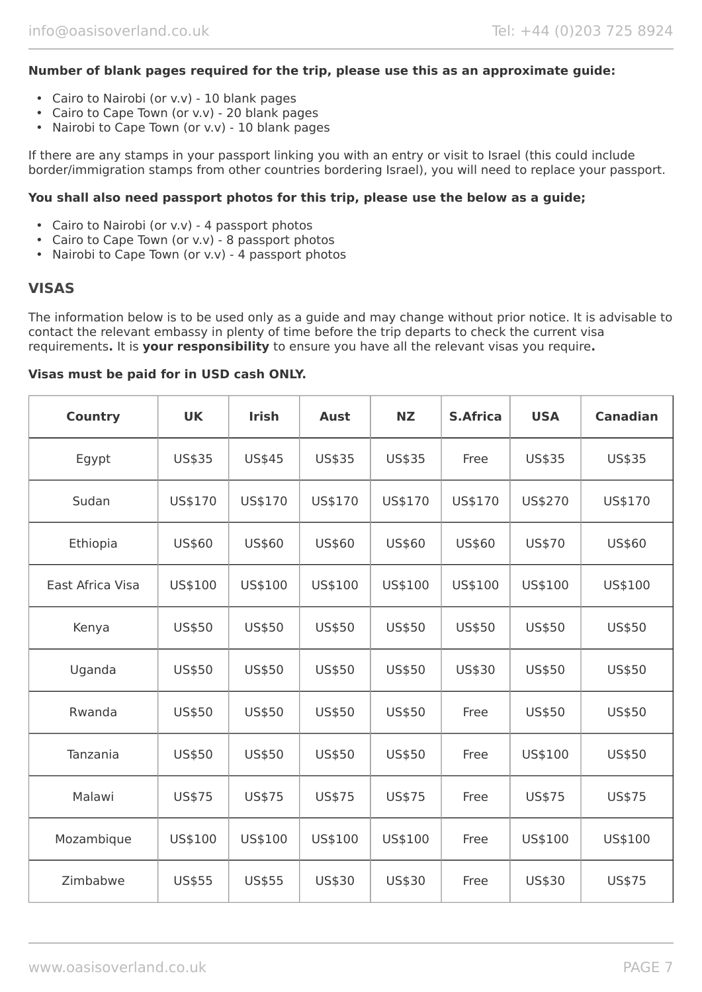#### **Number of blank pages required for the trip, please use this as an approximate guide:**

- Cairo to Nairobi (or v.v) 10 blank pages
- Cairo to Cape Town (or v.v) 20 blank pages
- Nairobi to Cape Town (or v.v) 10 blank pages

If there are any stamps in your passport linking you with an entry or visit to Israel (this could include border/immigration stamps from other countries bordering Israel), you will need to replace your passport.

#### **You shall also need passport photos for this trip, please use the below as a guide;**

- Cairo to Nairobi (or v.v) 4 passport photos
- Cairo to Cape Town (or v.v) 8 passport photos
- Nairobi to Cape Town (or v.v) 4 passport photos

#### **VISAS**

The information below is to be used only as a guide and may change without prior notice. It is advisable to contact the relevant embassy in plenty of time before the trip departs to check the current visa requirements**.** It is **your responsibility** to ensure you have all the relevant visas you require**.**

#### **Visas must be paid for in USD cash ONLY.**

| <b>Country</b>   | <b>UK</b> | <b>Irish</b> | <b>Aust</b> | <b>NZ</b>     | <b>S.Africa</b> | <b>USA</b>    | <b>Canadian</b> |
|------------------|-----------|--------------|-------------|---------------|-----------------|---------------|-----------------|
| Egypt            | US\$35    | US\$45       | US\$35      | US\$35        | Free            | US\$35        | US\$35          |
| Sudan            | US\$170   | US\$170      | US\$170     | US\$170       | US\$170         | US\$270       | US\$170         |
| Ethiopia         | US\$60    | US\$60       | US\$60      | US\$60        | US\$60          | US\$70        | US\$60          |
| East Africa Visa | US\$100   | US\$100      | US\$100     | US\$100       | US\$100         | US\$100       | US\$100         |
| Kenya            | US\$50    | US\$50       | US\$50      | <b>US\$50</b> | US\$50          | <b>US\$50</b> | US\$50          |
| Uganda           | US\$50    | US\$50       | US\$50      | US\$50        | US\$30          | <b>US\$50</b> | US\$50          |
| Rwanda           | US\$50    | US\$50       | US\$50      | <b>US\$50</b> | Free            | <b>US\$50</b> | US\$50          |
| Tanzania         | US\$50    | US\$50       | US\$50      | US\$50        | Free            | US\$100       | US\$50          |
| Malawi           | US\$75    | US\$75       | US\$75      | US\$75        | Free            | US\$75        | US\$75          |
| Mozambique       | US\$100   | US\$100      | US\$100     | US\$100       | Free            | US\$100       | US\$100         |
| Zimbabwe         | US\$55    | US\$55       | US\$30      | US\$30        | Free            | US\$30        | US\$75          |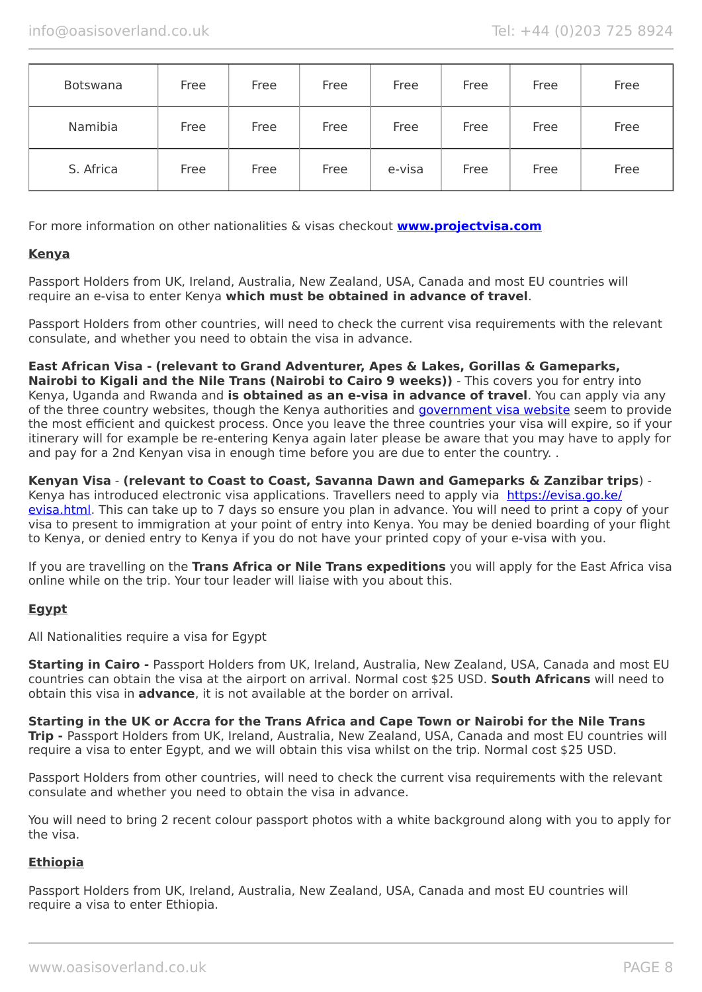| Botswana  | Free | Free | Free | Free   | Free | Free | Free |
|-----------|------|------|------|--------|------|------|------|
| Namibia   | Free | Free | Free | Free   | Free | Free | Free |
| S. Africa | Free | Free | Free | e-visa | Free | Free | Free |

For more information on other nationalities & visas checkout **[www.projectvisa.com](http://www.projectvisa.com/)**

#### **Kenya**

Passport Holders from UK, Ireland, Australia, New Zealand, USA, Canada and most EU countries will require an e-visa to enter Kenya **which must be obtained in advance of travel**.

Passport Holders from other countries, will need to check the current visa requirements with the relevant consulate, and whether you need to obtain the visa in advance.

#### **East African Visa - (relevant to Grand Adventurer, Apes & Lakes, Gorillas & Gameparks,**

**Nairobi to Kigali and the Nile Trans (Nairobi to Cairo 9 weeks))** - This covers you for entry into Kenya, Uganda and Rwanda and **is obtained as an e-visa in advance of travel**. You can apply via any of the three country websites, though the Kenya authorities and [government visa website](https://evisa.go.ke/evisa.html) seem to provide the most efficient and quickest process. Once you leave the three countries your visa will expire, so if your itinerary will for example be re-entering Kenya again later please be aware that you may have to apply for and pay for a 2nd Kenyan visa in enough time before you are due to enter the country. .

**Kenyan Visa** - **(relevant to Coast to Coast, Savanna Dawn and Gameparks & Zanzibar trips**) Kenya has introduced electronic visa applications. Travellers need to apply via [https://evisa.go.ke/](https://evisa.go.ke/evisa.html) [evisa.html](https://evisa.go.ke/evisa.html). This can take up to 7 days so ensure you plan in advance. You will need to print a copy of your visa to present to immigration at your point of entry into Kenya. You may be denied boarding of your flight to Kenya, or denied entry to Kenya if you do not have your printed copy of your e-visa with you.

If you are travelling on the **Trans Africa or Nile Trans expeditions** you will apply for the East Africa visa online while on the trip. Your tour leader will liaise with you about this.

#### **Egypt**

All Nationalities require a visa for Egypt

**Starting in Cairo -** Passport Holders from UK, Ireland, Australia, New Zealand, USA, Canada and most EU countries can obtain the visa at the airport on arrival. Normal cost \$25 USD. **South Africans** will need to obtain this visa in **advance**, it is not available at the border on arrival.

**Starting in the UK or Accra for the Trans Africa and Cape Town or Nairobi for the Nile Trans Trip -** Passport Holders from UK, Ireland, Australia, New Zealand, USA, Canada and most EU countries will require a visa to enter Egypt, and we will obtain this visa whilst on the trip. Normal cost \$25 USD.

Passport Holders from other countries, will need to check the current visa requirements with the relevant consulate and whether you need to obtain the visa in advance.

You will need to bring 2 recent colour passport photos with a white background along with you to apply for the visa.

#### **Ethiopia**

Passport Holders from UK, Ireland, Australia, New Zealand, USA, Canada and most EU countries will require a visa to enter Ethiopia.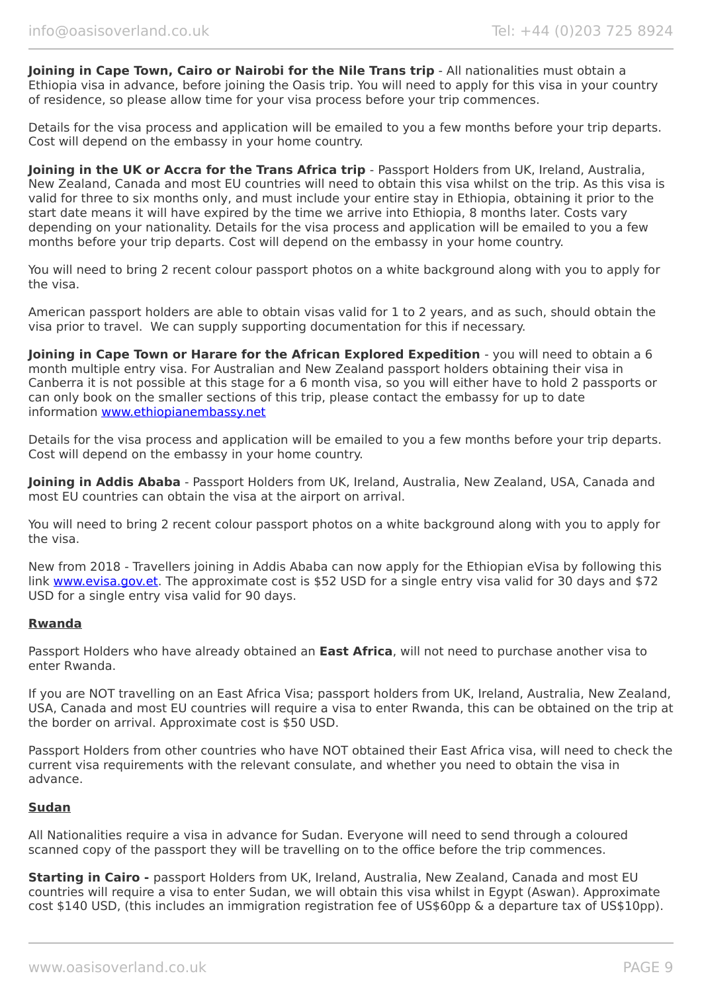**Joining in Cape Town, Cairo or Nairobi for the Nile Trans trip** - All nationalities must obtain a Ethiopia visa in advance, before joining the Oasis trip. You will need to apply for this visa in your country of residence, so please allow time for your visa process before your trip commences.

Details for the visa process and application will be emailed to you a few months before your trip departs. Cost will depend on the embassy in your home country.

**Joining in the UK or Accra for the Trans Africa trip** - Passport Holders from UK, Ireland, Australia, New Zealand, Canada and most EU countries will need to obtain this visa whilst on the trip. As this visa is valid for three to six months only, and must include your entire stay in Ethiopia, obtaining it prior to the start date means it will have expired by the time we arrive into Ethiopia, 8 months later. Costs vary depending on your nationality. Details for the visa process and application will be emailed to you a few months before your trip departs. Cost will depend on the embassy in your home country.

You will need to bring 2 recent colour passport photos on a white background along with you to apply for the visa.

American passport holders are able to obtain visas valid for 1 to 2 years, and as such, should obtain the visa prior to travel. We can supply supporting documentation for this if necessary.

**Joining in Cape Town or Harare for the African Explored Expedition** - you will need to obtain a 6 month multiple entry visa. For Australian and New Zealand passport holders obtaining their visa in Canberra it is not possible at this stage for a 6 month visa, so you will either have to hold 2 passports or can only book on the smaller sections of this trip, please contact the embassy for up to date information [www.ethiopianembassy.net](http://www.ethiopianembassy.net/)

Details for the visa process and application will be emailed to you a few months before your trip departs. Cost will depend on the embassy in your home country.

**Joining in Addis Ababa** - Passport Holders from UK, Ireland, Australia, New Zealand, USA, Canada and most EU countries can obtain the visa at the airport on arrival.

You will need to bring 2 recent colour passport photos on a white background along with you to apply for the visa.

New from 2018 - Travellers joining in Addis Ababa can now apply for the Ethiopian eVisa by following this link [www.evisa.gov.et](https://www.evisa.gov.et/). The approximate cost is \$52 USD for a single entry visa valid for 30 days and \$72 USD for a single entry visa valid for 90 days.

#### **Rwanda**

Passport Holders who have already obtained an **East Africa**, will not need to purchase another visa to enter Rwanda.

If you are NOT travelling on an East Africa Visa; passport holders from UK, Ireland, Australia, New Zealand, USA, Canada and most EU countries will require a visa to enter Rwanda, this can be obtained on the trip at the border on arrival. Approximate cost is \$50 USD.

Passport Holders from other countries who have NOT obtained their East Africa visa, will need to check the current visa requirements with the relevant consulate, and whether you need to obtain the visa in advance.

#### **Sudan**

All Nationalities require a visa in advance for Sudan. Everyone will need to send through a coloured scanned copy of the passport they will be travelling on to the office before the trip commences.

**Starting in Cairo -** passport Holders from UK, Ireland, Australia, New Zealand, Canada and most EU countries will require a visa to enter Sudan, we will obtain this visa whilst in Egypt (Aswan). Approximate cost \$140 USD, (this includes an immigration registration fee of US\$60pp & a departure tax of US\$10pp).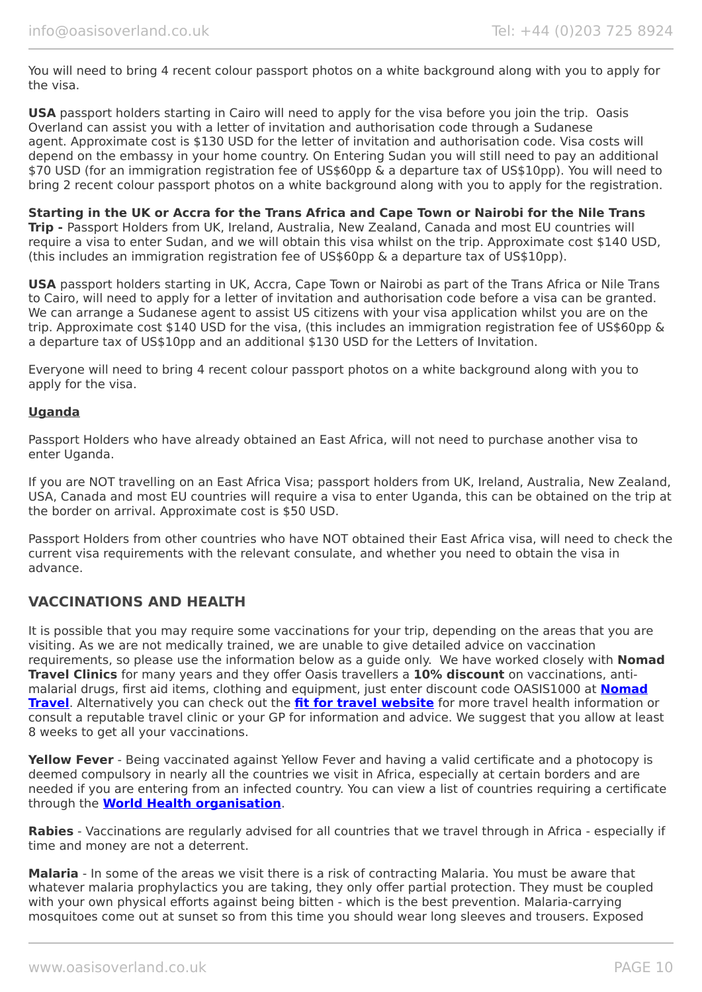You will need to bring 4 recent colour passport photos on a white background along with you to apply for the visa.

**USA** passport holders starting in Cairo will need to apply for the visa before you join the trip. Oasis Overland can assist you with a letter of invitation and authorisation code through a Sudanese agent. Approximate cost is \$130 USD for the letter of invitation and authorisation code. Visa costs will depend on the embassy in your home country. On Entering Sudan you will still need to pay an additional \$70 USD (for an immigration registration fee of US\$60pp & a departure tax of US\$10pp). You will need to bring 2 recent colour passport photos on a white background along with you to apply for the registration.

**Starting in the UK or Accra for the Trans Africa and Cape Town or Nairobi for the Nile Trans Trip -** Passport Holders from UK, Ireland, Australia, New Zealand, Canada and most EU countries will require a visa to enter Sudan, and we will obtain this visa whilst on the trip. Approximate cost \$140 USD, (this includes an immigration registration fee of US\$60pp & a departure tax of US\$10pp).

**USA** passport holders starting in UK, Accra, Cape Town or Nairobi as part of the Trans Africa or Nile Trans to Cairo, will need to apply for a letter of invitation and authorisation code before a visa can be granted. We can arrange a Sudanese agent to assist US citizens with your visa application whilst you are on the trip. Approximate cost \$140 USD for the visa, (this includes an immigration registration fee of US\$60pp & a departure tax of US\$10pp and an additional \$130 USD for the Letters of Invitation.

Everyone will need to bring 4 recent colour passport photos on a white background along with you to apply for the visa.

#### **Uganda**

Passport Holders who have already obtained an East Africa, will not need to purchase another visa to enter Uganda.

If you are NOT travelling on an East Africa Visa; passport holders from UK, Ireland, Australia, New Zealand, USA, Canada and most EU countries will require a visa to enter Uganda, this can be obtained on the trip at the border on arrival. Approximate cost is \$50 USD.

Passport Holders from other countries who have NOT obtained their East Africa visa, will need to check the current visa requirements with the relevant consulate, and whether you need to obtain the visa in advance.

#### **VACCINATIONS AND HEALTH**

It is possible that you may require some vaccinations for your trip, depending on the areas that you are visiting. As we are not medically trained, we are unable to give detailed advice on vaccination requirements, so please use the information below as a guide only. We have worked closely with **Nomad Travel Clinics** for many years and they offer Oasis travellers a **10% discount** on vaccinations, antimalarial drugs, first aid items, clothing and equipment, just enter discount code OASIS1000 at **[Nomad](http://www.nomadtravel.co.uk/) [Travel](http://www.nomadtravel.co.uk/)**. Alternatively you can check out the **[fit for travel website](https://www.fitfortravel.nhs.uk/home)** for more travel health information or consult a reputable travel clinic or your GP for information and advice. We suggest that you allow at least 8 weeks to get all your vaccinations.

**Yellow Fever** - Being vaccinated against Yellow Fever and having a valid certificate and a photocopy is deemed compulsory in nearly all the countries we visit in Africa, especially at certain borders and are needed if you are entering from an infected country. You can view a list of countries requiring a certificate through the **[World Health organisation](http://www.who.int/ith/ITH_country_list.pdf)**.

**Rabies** - Vaccinations are regularly advised for all countries that we travel through in Africa - especially if time and money are not a deterrent.

**Malaria** - In some of the areas we visit there is a risk of contracting Malaria. You must be aware that whatever malaria prophylactics you are taking, they only offer partial protection. They must be coupled with your own physical efforts against being bitten - which is the best prevention. Malaria-carrying mosquitoes come out at sunset so from this time you should wear long sleeves and trousers. Exposed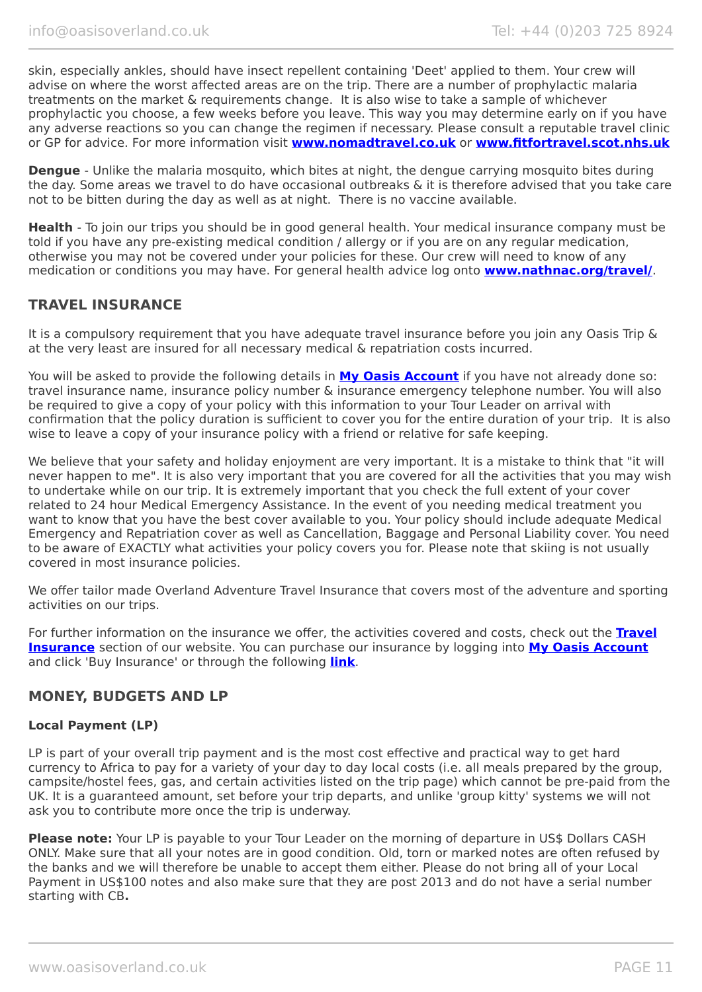skin, especially ankles, should have insect repellent containing 'Deet' applied to them. Your crew will advise on where the worst affected areas are on the trip. There are a number of prophylactic malaria treatments on the market & requirements change. It is also wise to take a sample of whichever prophylactic you choose, a few weeks before you leave. This way you may determine early on if you have any adverse reactions so you can change the regimen if necessary. Please consult a reputable travel clinic or GP for advice. For more information visit **[www.nomadtravel.co.uk](http://www.nomadtravel.co.uk/)** or **[www.fitfortravel.scot.nhs.uk](http://www.fitfortravel.scot.nhs.uk/)**

**Dengue** - Unlike the malaria mosquito, which bites at night, the dengue carrying mosquito bites during the day. Some areas we travel to do have occasional outbreaks & it is therefore advised that you take care not to be bitten during the day as well as at night. There is no vaccine available.

**Health** - To join our trips you should be in good general health. Your medical insurance company must be told if you have any pre-existing medical condition / allergy or if you are on any regular medication, otherwise you may not be covered under your policies for these. Our crew will need to know of any medication or conditions you may have. For general health advice log onto **[www.nathnac.org/travel/](http://www.nathnac.org/travel/)**.

#### **TRAVEL INSURANCE**

It is a compulsory requirement that you have adequate travel insurance before you join any Oasis Trip & at the very least are insured for all necessary medical & repatriation costs incurred.

You will be asked to provide the following details in **My [Oasis Account](https://oasisportal.eecsoftware.com/)** if you have not already done so: travel insurance name, insurance policy number & insurance emergency telephone number. You will also be required to give a copy of your policy with this information to your Tour Leader on arrival with confirmation that the policy duration is sufficient to cover you for the entire duration of your trip. It is also wise to leave a copy of your insurance policy with a friend or relative for safe keeping.

We believe that your safety and holiday enjoyment are very important. It is a mistake to think that "it will never happen to me". It is also very important that you are covered for all the activities that you may wish to undertake while on our trip. It is extremely important that you check the full extent of your cover related to 24 hour Medical Emergency Assistance. In the event of you needing medical treatment you want to know that you have the best cover available to you. Your policy should include adequate Medical Emergency and Repatriation cover as well as Cancellation, Baggage and Personal Liability cover. You need to be aware of EXACTLY what activities your policy covers you for. Please note that skiing is not usually covered in most insurance policies.

We offer tailor made Overland Adventure Travel Insurance that covers most of the adventure and sporting activities on our trips.

For further information on the insurance we offer, the activities covered and costs, check out the **[Travel](https://www.oasisoverland.co.uk/travel-insurance) [Insurance](https://www.oasisoverland.co.uk/travel-insurance)** section of our website. You can purchase our insurance by logging into **[My Oasis Account](https://oasisportal.eecsoftware.com/)** and click 'Buy Insurance' or through the following **[link](https://www.campbellirvinedirect.com/oasisoverland/)**.

#### **MONEY, BUDGETS AND LP**

#### **Local Payment (LP)**

LP is part of your overall trip payment and is the most cost effective and practical way to get hard currency to Africa to pay for a variety of your day to day local costs (i.e. all meals prepared by the group, campsite/hostel fees, gas, and certain activities listed on the trip page) which cannot be pre-paid from the UK. It is a guaranteed amount, set before your trip departs, and unlike 'group kitty' systems we will not ask you to contribute more once the trip is underway.

**Please note:** Your LP is payable to your Tour Leader on the morning of departure in US\$ Dollars CASH ONLY. Make sure that all your notes are in good condition. Old, torn or marked notes are often refused by the banks and we will therefore be unable to accept them either. Please do not bring all of your Local Payment in US\$100 notes and also make sure that they are post 2013 and do not have a serial number starting with CB**.**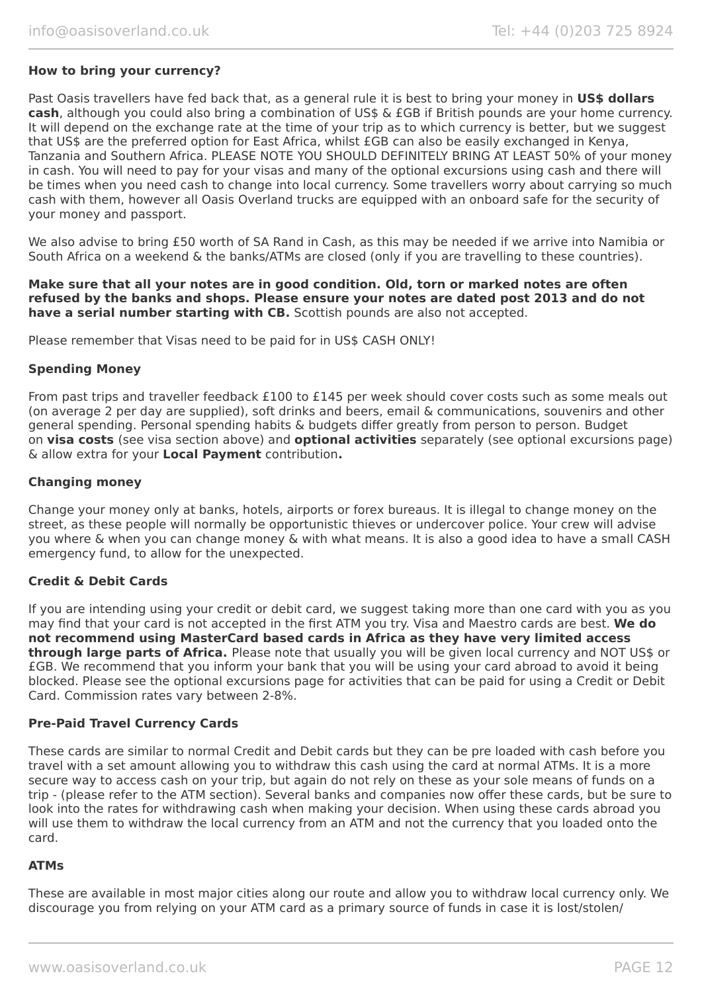#### **How to bring your currency?**

Past Oasis travellers have fed back that, as a general rule it is best to bring your money in **US\$ dollars cash**, although you could also bring a combination of US\$ & £GB if British pounds are your home currency. It will depend on the exchange rate at the time of your trip as to which currency is better, but we suggest that US\$ are the preferred option for East Africa, whilst £GB can also be easily exchanged in Kenya, Tanzania and Southern Africa. PLEASE NOTE YOU SHOULD DEFINITELY BRING AT LEAST 50% of your money in cash. You will need to pay for your visas and many of the optional excursions using cash and there will be times when you need cash to change into local currency. Some travellers worry about carrying so much cash with them, however all Oasis Overland trucks are equipped with an onboard safe for the security of your money and passport.

We also advise to bring £50 worth of SA Rand in Cash, as this may be needed if we arrive into Namibia or South Africa on a weekend & the banks/ATMs are closed (only if you are travelling to these countries).

**Make sure that all your notes are in good condition. Old, torn or marked notes are often refused by the banks and shops. Please ensure your notes are dated post 2013 and do not have a serial number starting with CB.** Scottish pounds are also not accepted.

Please remember that Visas need to be paid for in US\$ CASH ONLY!

#### **Spending Money**

From past trips and traveller feedback £100 to £145 per week should cover costs such as some meals out (on average 2 per day are supplied), soft drinks and beers, email & communications, souvenirs and other general spending. Personal spending habits & budgets differ greatly from person to person. Budget on **visa costs** (see visa section above) and **optional activities** separately (see optional excursions page) & allow extra for your **Local Payment** contribution**.**

#### **Changing money**

Change your money only at banks, hotels, airports or forex bureaus. It is illegal to change money on the street, as these people will normally be opportunistic thieves or undercover police. Your crew will advise you where & when you can change money & with what means. It is also a good idea to have a small CASH emergency fund, to allow for the unexpected.

#### **Credit & Debit Cards**

If you are intending using your credit or debit card, we suggest taking more than one card with you as you may find that your card is not accepted in the first ATM you try. Visa and Maestro cards are best. **We do not recommend using MasterCard based cards in Africa as they have very limited access through large parts of Africa.** Please note that usually you will be given local currency and NOT US\$ or £GB. We recommend that you inform your bank that you will be using your card abroad to avoid it being blocked. Please see the optional excursions page for activities that can be paid for using a Credit or Debit Card. Commission rates vary between 2-8%.

#### **Pre-Paid Travel Currency Cards**

These cards are similar to normal Credit and Debit cards but they can be pre loaded with cash before you travel with a set amount allowing you to withdraw this cash using the card at normal ATMs. It is a more secure way to access cash on your trip, but again do not rely on these as your sole means of funds on a trip - (please refer to the ATM section). Several banks and companies now offer these cards, but be sure to look into the rates for withdrawing cash when making your decision. When using these cards abroad you will use them to withdraw the local currency from an ATM and not the currency that you loaded onto the card.

#### **ATMs**

These are available in most major cities along our route and allow you to withdraw local currency only. We discourage you from relying on your ATM card as a primary source of funds in case it is lost/stolen/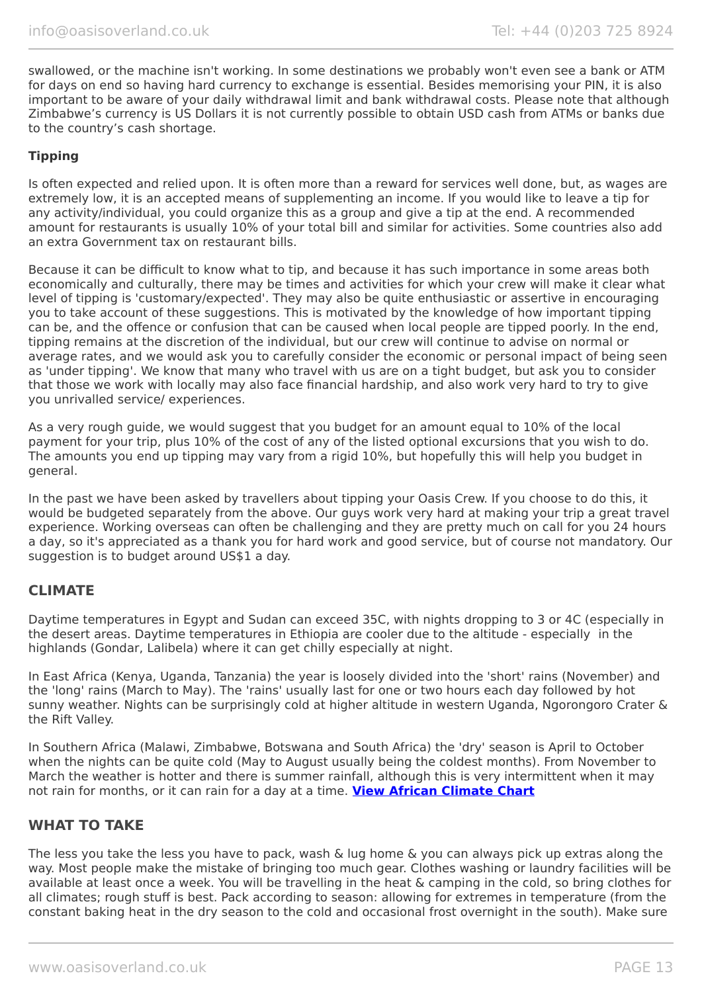swallowed, or the machine isn't working. In some destinations we probably won't even see a bank or ATM for days on end so having hard currency to exchange is essential. Besides memorising your PIN, it is also important to be aware of your daily withdrawal limit and bank withdrawal costs. Please note that although Zimbabwe's currency is US Dollars it is not currently possible to obtain USD cash from ATMs or banks due to the country's cash shortage.

#### **Tipping**

Is often expected and relied upon. It is often more than a reward for services well done, but, as wages are extremely low, it is an accepted means of supplementing an income. If you would like to leave a tip for any activity/individual, you could organize this as a group and give a tip at the end. A recommended amount for restaurants is usually 10% of your total bill and similar for activities. Some countries also add an extra Government tax on restaurant bills.

Because it can be difficult to know what to tip, and because it has such importance in some areas both economically and culturally, there may be times and activities for which your crew will make it clear what level of tipping is 'customary/expected'. They may also be quite enthusiastic or assertive in encouraging you to take account of these suggestions. This is motivated by the knowledge of how important tipping can be, and the offence or confusion that can be caused when local people are tipped poorly. In the end, tipping remains at the discretion of the individual, but our crew will continue to advise on normal or average rates, and we would ask you to carefully consider the economic or personal impact of being seen as 'under tipping'. We know that many who travel with us are on a tight budget, but ask you to consider that those we work with locally may also face financial hardship, and also work very hard to try to give you unrivalled service/ experiences.

As a very rough guide, we would suggest that you budget for an amount equal to 10% of the local payment for your trip, plus 10% of the cost of any of the listed optional excursions that you wish to do. The amounts you end up tipping may vary from a rigid 10%, but hopefully this will help you budget in general.

In the past we have been asked by travellers about tipping your Oasis Crew. If you choose to do this, it would be budgeted separately from the above. Our guys work very hard at making your trip a great travel experience. Working overseas can often be challenging and they are pretty much on call for you 24 hours a day, so it's appreciated as a thank you for hard work and good service, but of course not mandatory. Our suggestion is to budget around US\$1 a day.

#### **CLIMATE**

Daytime temperatures in Egypt and Sudan can exceed 35C, with nights dropping to 3 or 4C (especially in the desert areas. Daytime temperatures in Ethiopia are cooler due to the altitude - especially in the highlands (Gondar, Lalibela) where it can get chilly especially at night.

In East Africa (Kenya, Uganda, Tanzania) the year is loosely divided into the 'short' rains (November) and the 'long' rains (March to May). The 'rains' usually last for one or two hours each day followed by hot sunny weather. Nights can be surprisingly cold at higher altitude in western Uganda, Ngorongoro Crater & the Rift Valley.

In Southern Africa (Malawi, Zimbabwe, Botswana and South Africa) the 'dry' season is April to October when the nights can be quite cold (May to August usually being the coldest months). From November to March the weather is hotter and there is summer rainfall, although this is very intermittent when it may not rain for months, or it can rain for a day at a time. **[View African Climate Chart](https://www.oasisoverland.co.uk/trans-africa-climate-chart)**

#### **WHAT TO TAKE**

The less you take the less you have to pack, wash & lug home & you can always pick up extras along the way. Most people make the mistake of bringing too much gear. Clothes washing or laundry facilities will be available at least once a week. You will be travelling in the heat & camping in the cold, so bring clothes for all climates; rough stuff is best. Pack according to season: allowing for extremes in temperature (from the constant baking heat in the dry season to the cold and occasional frost overnight in the south). Make sure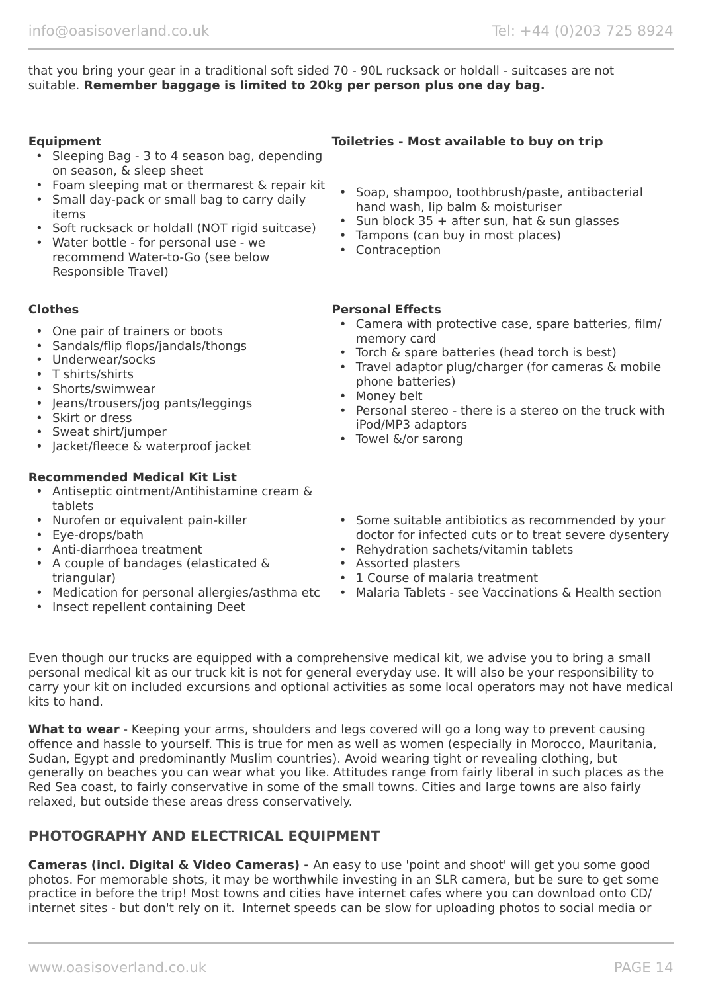that you bring your gear in a traditional soft sided 70 - 90L rucksack or holdall - suitcases are not suitable. **Remember baggage is limited to 20kg per person plus one day bag.**

- Sleeping Bag 3 to 4 season bag, depending on season, & sleep sheet
- Foam sleeping mat or thermarest & repair kit
- Small day-pack or small bag to carry daily items
- Soft rucksack or holdall (NOT rigid suitcase)
- Water bottle for personal use we recommend Water-to-Go (see below Responsible Travel)

- One pair of trainers or boots
- Sandals/flip flops/jandals/thongs
- Underwear/socks
- T shirts/shirts
- Shorts/swimwear
- Jeans/trousers/jog pants/leggings
- Skirt or dress
- Sweat shirt/jumper
- Jacket/fleece & waterproof jacket

#### **Recommended Medical Kit List**

- Antiseptic ointment/Antihistamine cream & tablets
- Nurofen or equivalent pain-killer
- Eye-drops/bath
- Anti-diarrhoea treatment
- A couple of bandages (elasticated & triangular)
- Medication for personal allergies/asthma etc
- Insect repellent containing Deet

#### **Equipment Toiletries - Most available to buy on trip**

- Soap, shampoo, toothbrush/paste, antibacterial hand wash, lip balm & moisturiser
- Sun block  $35 +$  after sun, hat & sun glasses
- Tampons (can buy in most places)
- Contraception

#### **Clothes Personal Effects**

- Camera with protective case, spare batteries, film/ memory card
- Torch & spare batteries (head torch is best)
- Travel adaptor plug/charger (for cameras & mobile phone batteries)
- Money belt
- Personal stereo there is a stereo on the truck with iPod/MP3 adaptors
- Towel &/or sarong
- Some suitable antibiotics as recommended by your doctor for infected cuts or to treat severe dysentery
- Rehydration sachets/vitamin tablets
- Assorted plasters
- 1 Course of malaria treatment
- Malaria Tablets see Vaccinations & Health section

Even though our trucks are equipped with a comprehensive medical kit, we advise you to bring a small personal medical kit as our truck kit is not for general everyday use. It will also be your responsibility to carry your kit on included excursions and optional activities as some local operators may not have medical kits to hand.

**What to wear** - Keeping your arms, shoulders and legs covered will go a long way to prevent causing offence and hassle to yourself. This is true for men as well as women (especially in Morocco, Mauritania, Sudan, Egypt and predominantly Muslim countries). Avoid wearing tight or revealing clothing, but generally on beaches you can wear what you like. Attitudes range from fairly liberal in such places as the Red Sea coast, to fairly conservative in some of the small towns. Cities and large towns are also fairly relaxed, but outside these areas dress conservatively.

#### **PHOTOGRAPHY AND ELECTRICAL EQUIPMENT**

**Cameras (incl. Digital & Video Cameras) -** An easy to use 'point and shoot' will get you some good photos. For memorable shots, it may be worthwhile investing in an SLR camera, but be sure to get some practice in before the trip! Most towns and cities have internet cafes where you can download onto CD/ internet sites - but don't rely on it. Internet speeds can be slow for uploading photos to social media or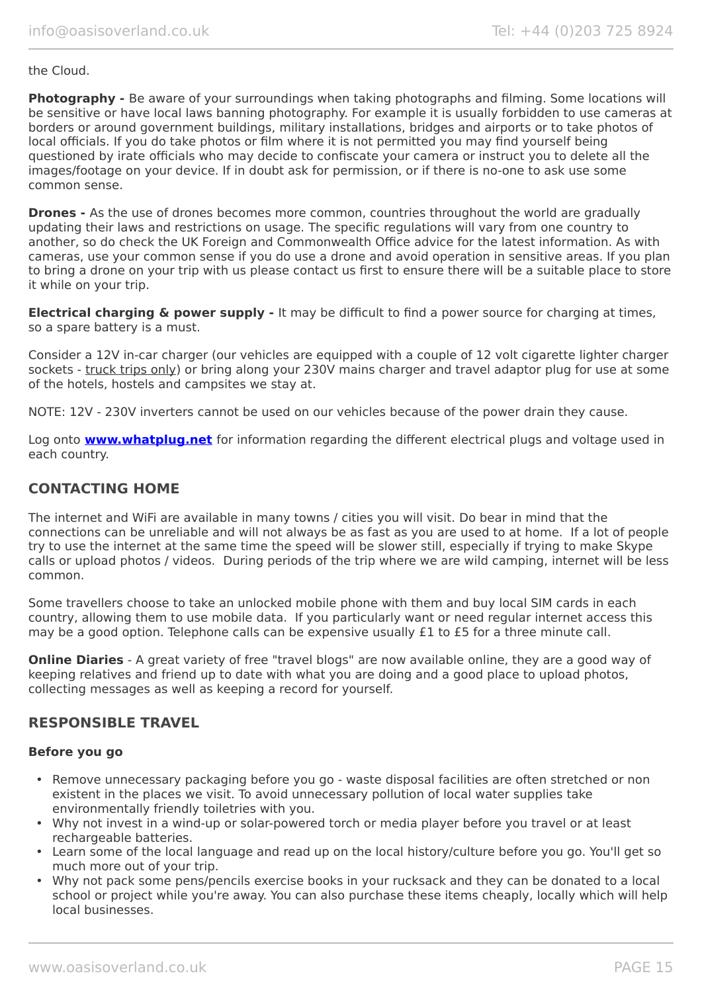#### the Cloud.

**Photography -** Be aware of your surroundings when taking photographs and filming. Some locations will be sensitive or have local laws banning photography. For example it is usually forbidden to use cameras at borders or around government buildings, military installations, bridges and airports or to take photos of local officials. If you do take photos or film where it is not permitted you may find yourself being questioned by irate officials who may decide to confiscate your camera or instruct you to delete all the images/footage on your device. If in doubt ask for permission, or if there is no-one to ask use some common sense.

**Drones -** As the use of drones becomes more common, countries throughout the world are gradually updating their laws and restrictions on usage. The specific regulations will vary from one country to another, so do check the UK Foreign and Commonwealth Office advice for the latest information. As with cameras, use your common sense if you do use a drone and avoid operation in sensitive areas. If you plan to bring a drone on your trip with us please contact us first to ensure there will be a suitable place to store it while on your trip.

**Electrical charging & power supply -** It may be difficult to find a power source for charging at times, so a spare battery is a must.

Consider a 12V in-car charger (our vehicles are equipped with a couple of 12 volt cigarette lighter charger sockets - truck trips only) or bring along your 230V mains charger and travel adaptor plug for use at some of the hotels, hostels and campsites we stay at.

NOTE: 12V - 230V inverters cannot be used on our vehicles because of the power drain they cause.

Log onto **[www.whatplug.net](http://www.whatplug.net/)** for information regarding the different electrical plugs and voltage used in each country.

#### **CONTACTING HOME**

The internet and WiFi are available in many towns / cities you will visit. Do bear in mind that the connections can be unreliable and will not always be as fast as you are used to at home. If a lot of people try to use the internet at the same time the speed will be slower still, especially if trying to make Skype calls or upload photos / videos. During periods of the trip where we are wild camping, internet will be less common.

Some travellers choose to take an unlocked mobile phone with them and buy local SIM cards in each country, allowing them to use mobile data. If you particularly want or need regular internet access this may be a good option. Telephone calls can be expensive usually £1 to £5 for a three minute call.

**Online Diaries** - A great variety of free "travel blogs" are now available online, they are a good way of keeping relatives and friend up to date with what you are doing and a good place to upload photos, collecting messages as well as keeping a record for yourself.

#### **RESPONSIBLE TRAVEL**

#### **Before you go**

- Remove unnecessary packaging before you go waste disposal facilities are often stretched or non existent in the places we visit. To avoid unnecessary pollution of local water supplies take environmentally friendly toiletries with you.
- Why not invest in a wind-up or solar-powered torch or media player before you travel or at least rechargeable batteries.
- Learn some of the local language and read up on the local history/culture before you go. You'll get so much more out of your trip.
- Why not pack some pens/pencils exercise books in your rucksack and they can be donated to a local school or project while you're away. You can also purchase these items cheaply, locally which will help local businesses.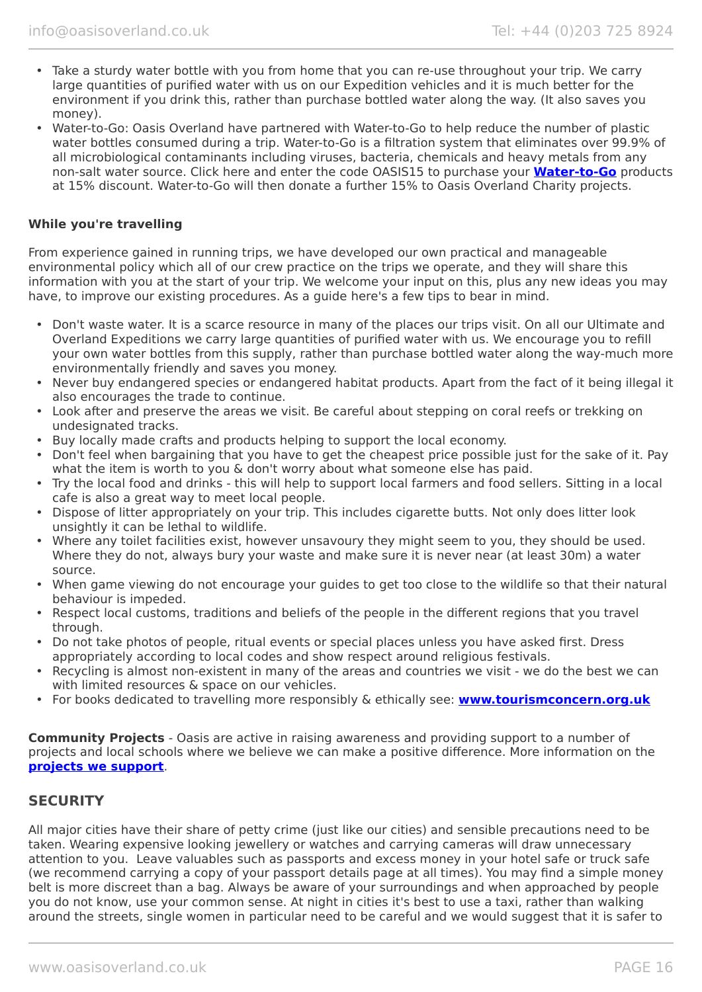- Take a sturdy water bottle with you from home that you can re-use throughout your trip. We carry large quantities of purified water with us on our Expedition vehicles and it is much better for the environment if you drink this, rather than purchase bottled water along the way. (It also saves you money).
- Water-to-Go: Oasis Overland have partnered with Water-to-Go to help reduce the number of plastic water bottles consumed during a trip. Water-to-Go is a filtration system that eliminates over 99.9% of all microbiological contaminants including viruses, bacteria, chemicals and heavy metals from any non-salt water source. Click here and enter the code OASIS15 to purchase your **[Water-to-Go](https://watertogo.eu/partnerships/oasisoverland/)** products at 15% discount. Water-to-Go will then donate a further 15% to Oasis Overland Charity projects.

#### **While you're travelling**

From experience gained in running trips, we have developed our own practical and manageable environmental policy which all of our crew practice on the trips we operate, and they will share this information with you at the start of your trip. We welcome your input on this, plus any new ideas you may have, to improve our existing procedures. As a guide here's a few tips to bear in mind.

- Don't waste water. It is a scarce resource in many of the places our trips visit. On all our Ultimate and Overland Expeditions we carry large quantities of purified water with us. We encourage you to refill your own water bottles from this supply, rather than purchase bottled water along the way-much more environmentally friendly and saves you money.
- Never buy endangered species or endangered habitat products. Apart from the fact of it being illegal it also encourages the trade to continue.
- Look after and preserve the areas we visit. Be careful about stepping on coral reefs or trekking on undesignated tracks.
- Buy locally made crafts and products helping to support the local economy.
- Don't feel when bargaining that you have to get the cheapest price possible just for the sake of it. Pay what the item is worth to you & don't worry about what someone else has paid.
- Try the local food and drinks this will help to support local farmers and food sellers. Sitting in a local cafe is also a great way to meet local people.
- Dispose of litter appropriately on your trip. This includes cigarette butts. Not only does litter look unsightly it can be lethal to wildlife.
- Where any toilet facilities exist, however unsavoury they might seem to you, they should be used. Where they do not, always bury your waste and make sure it is never near (at least 30m) a water source.
- When game viewing do not encourage your guides to get too close to the wildlife so that their natural behaviour is impeded.
- Respect local customs, traditions and beliefs of the people in the different regions that you travel through.
- Do not take photos of people, ritual events or special places unless you have asked first. Dress appropriately according to local codes and show respect around religious festivals.
- Recycling is almost non-existent in many of the areas and countries we visit we do the best we can with limited resources & space on our vehicles.
- For books dedicated to travelling more responsibly & ethically see: **[www.tourismconcern.org.uk](https://www.tourismconcern.org.uk/)**

**Community Projects** - Oasis are active in raising awareness and providing support to a number of projects and local schools where we believe we can make a positive difference. More information on the **[projects we support](https://www.oasisoverland.co.uk/responsible-travel/charities-we-support)**.

#### **SECURITY**

All major cities have their share of petty crime (just like our cities) and sensible precautions need to be taken. Wearing expensive looking jewellery or watches and carrying cameras will draw unnecessary attention to you. Leave valuables such as passports and excess money in your hotel safe or truck safe (we recommend carrying a copy of your passport details page at all times). You may find a simple money belt is more discreet than a bag. Always be aware of your surroundings and when approached by people you do not know, use your common sense. At night in cities it's best to use a taxi, rather than walking around the streets, single women in particular need to be careful and we would suggest that it is safer to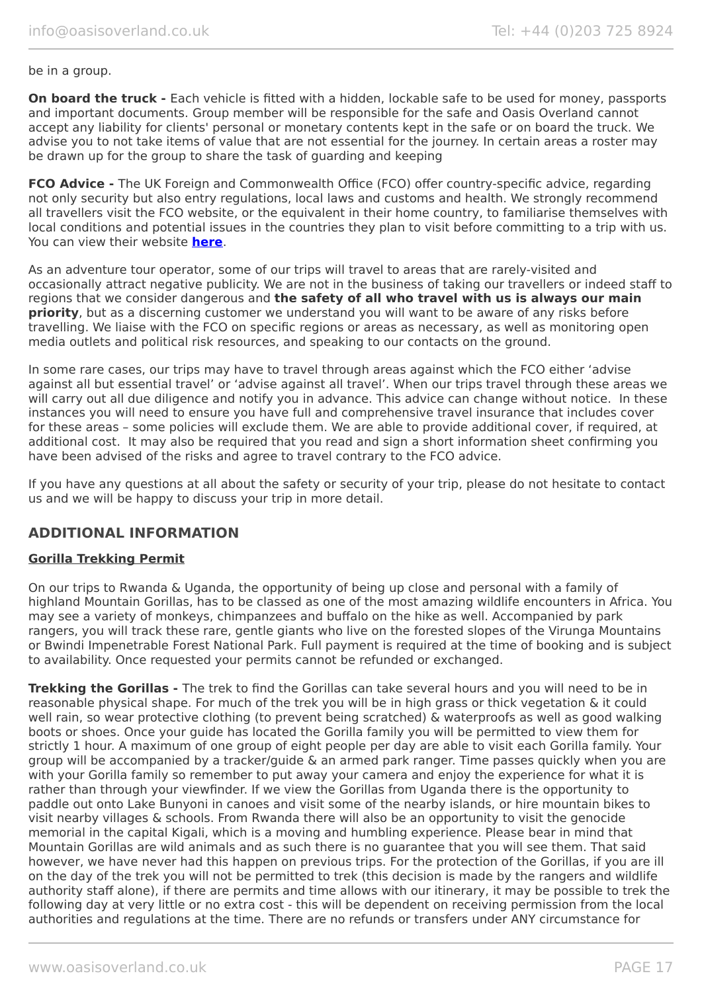be in a group.

**On board the truck -** Each vehicle is fitted with a hidden, lockable safe to be used for money, passports and important documents. Group member will be responsible for the safe and Oasis Overland cannot accept any liability for clients' personal or monetary contents kept in the safe or on board the truck. We advise you to not take items of value that are not essential for the journey. In certain areas a roster may be drawn up for the group to share the task of guarding and keeping

**FCO Advice -** The UK Foreign and Commonwealth Office (FCO) offer country-specific advice, regarding not only security but also entry regulations, local laws and customs and health. We strongly recommend all travellers visit the FCO website, or the equivalent in their home country, to familiarise themselves with local conditions and potential issues in the countries they plan to visit before committing to a trip with us. You can view their website **[here](https://www.gov.uk/foreign-travel-advice)**.

As an adventure tour operator, some of our trips will travel to areas that are rarely-visited and occasionally attract negative publicity. We are not in the business of taking our travellers or indeed staff to regions that we consider dangerous and **the safety of all who travel with us is always our main priority**, but as a discerning customer we understand you will want to be aware of any risks before travelling. We liaise with the FCO on specific regions or areas as necessary, as well as monitoring open media outlets and political risk resources, and speaking to our contacts on the ground.

In some rare cases, our trips may have to travel through areas against which the FCO either 'advise against all but essential travel' or 'advise against all travel'. When our trips travel through these areas we will carry out all due diligence and notify you in advance. This advice can change without notice. In these instances you will need to ensure you have full and comprehensive travel insurance that includes cover for these areas – some policies will exclude them. We are able to provide additional cover, if required, at additional cost. It may also be required that you read and sign a short information sheet confirming you have been advised of the risks and agree to travel contrary to the FCO advice.

If you have any questions at all about the safety or security of your trip, please do not hesitate to contact us and we will be happy to discuss your trip in more detail.

#### **ADDITIONAL INFORMATION**

#### **Gorilla Trekking Permit**

On our trips to Rwanda & Uganda, the opportunity of being up close and personal with a family of highland Mountain Gorillas, has to be classed as one of the most amazing wildlife encounters in Africa. You may see a variety of monkeys, chimpanzees and buffalo on the hike as well. Accompanied by park rangers, you will track these rare, gentle giants who live on the forested slopes of the Virunga Mountains or Bwindi Impenetrable Forest National Park. Full payment is required at the time of booking and is subject to availability. Once requested your permits cannot be refunded or exchanged.

**Trekking the Gorillas -** The trek to find the Gorillas can take several hours and you will need to be in reasonable physical shape. For much of the trek you will be in high grass or thick vegetation & it could well rain, so wear protective clothing (to prevent being scratched) & waterproofs as well as good walking boots or shoes. Once your guide has located the Gorilla family you will be permitted to view them for strictly 1 hour. A maximum of one group of eight people per day are able to visit each Gorilla family. Your group will be accompanied by a tracker/guide & an armed park ranger. Time passes quickly when you are with your Gorilla family so remember to put away your camera and enjoy the experience for what it is rather than through your viewfinder. If we view the Gorillas from Uganda there is the opportunity to paddle out onto Lake Bunyoni in canoes and visit some of the nearby islands, or hire mountain bikes to visit nearby villages & schools. From Rwanda there will also be an opportunity to visit the genocide memorial in the capital Kigali, which is a moving and humbling experience. Please bear in mind that Mountain Gorillas are wild animals and as such there is no guarantee that you will see them. That said however, we have never had this happen on previous trips. For the protection of the Gorillas, if you are ill on the day of the trek you will not be permitted to trek (this decision is made by the rangers and wildlife authority staff alone), if there are permits and time allows with our itinerary, it may be possible to trek the following day at very little or no extra cost - this will be dependent on receiving permission from the local authorities and regulations at the time. There are no refunds or transfers under ANY circumstance for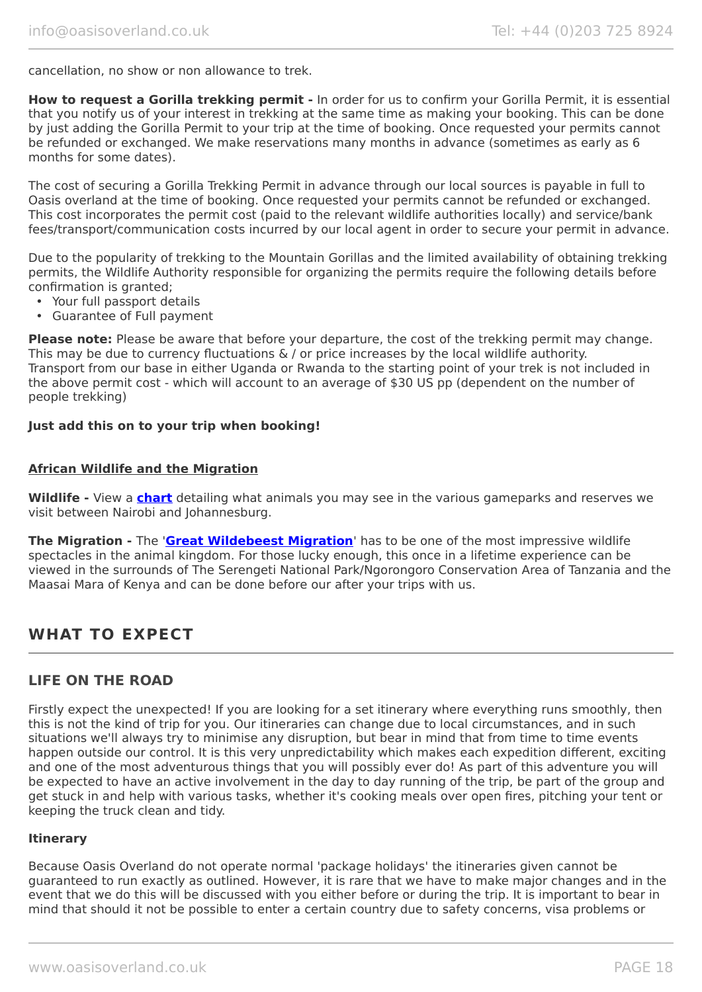cancellation, no show or non allowance to trek.

**How to request a Gorilla trekking permit -** In order for us to confirm your Gorilla Permit, it is essential that you notify us of your interest in trekking at the same time as making your booking. This can be done by just adding the Gorilla Permit to your trip at the time of booking. Once requested your permits cannot be refunded or exchanged. We make reservations many months in advance (sometimes as early as 6 months for some dates).

The cost of securing a Gorilla Trekking Permit in advance through our local sources is payable in full to Oasis overland at the time of booking. Once requested your permits cannot be refunded or exchanged. This cost incorporates the permit cost (paid to the relevant wildlife authorities locally) and service/bank fees/transport/communication costs incurred by our local agent in order to secure your permit in advance.

Due to the popularity of trekking to the Mountain Gorillas and the limited availability of obtaining trekking permits, the Wildlife Authority responsible for organizing the permits require the following details before confirmation is granted;

- Your full passport details
- Guarantee of Full payment

**Please note:** Please be aware that before your departure, the cost of the trekking permit may change. This may be due to currency fluctuations & / or price increases by the local wildlife authority. Transport from our base in either Uganda or Rwanda to the starting point of your trek is not included in the above permit cost - which will account to an average of \$30 US pp (dependent on the number of people trekking)

#### **Just add this on to your trip when booking!**

#### **African Wildlife and the Migration**

**Wildlife -** View a **[chart](https://www.oasisoverland.co.uk/african-wildlife-chart)** detailing what animals you may see in the various gameparks and reserves we visit between Nairobi and Johannesburg.

**The Migration -** The '**[Great Wildebeest Migration](https://www.oasisoverland.co.uk/the-great-wildebeest-migration)**' has to be one of the most impressive wildlife spectacles in the animal kingdom. For those lucky enough, this once in a lifetime experience can be viewed in the surrounds of The Serengeti National Park/Ngorongoro Conservation Area of Tanzania and the Maasai Mara of Kenya and can be done before our after your trips with us.

# **WHAT TO EXPECT**

#### **LIFE ON THE ROAD**

Firstly expect the unexpected! If you are looking for a set itinerary where everything runs smoothly, then this is not the kind of trip for you. Our itineraries can change due to local circumstances, and in such situations we'll always try to minimise any disruption, but bear in mind that from time to time events happen outside our control. It is this very unpredictability which makes each expedition different, exciting and one of the most adventurous things that you will possibly ever do! As part of this adventure you will be expected to have an active involvement in the day to day running of the trip, be part of the group and get stuck in and help with various tasks, whether it's cooking meals over open fires, pitching your tent or keeping the truck clean and tidy.

#### **Itinerary**

Because Oasis Overland do not operate normal 'package holidays' the itineraries given cannot be guaranteed to run exactly as outlined. However, it is rare that we have to make major changes and in the event that we do this will be discussed with you either before or during the trip. It is important to bear in mind that should it not be possible to enter a certain country due to safety concerns, visa problems or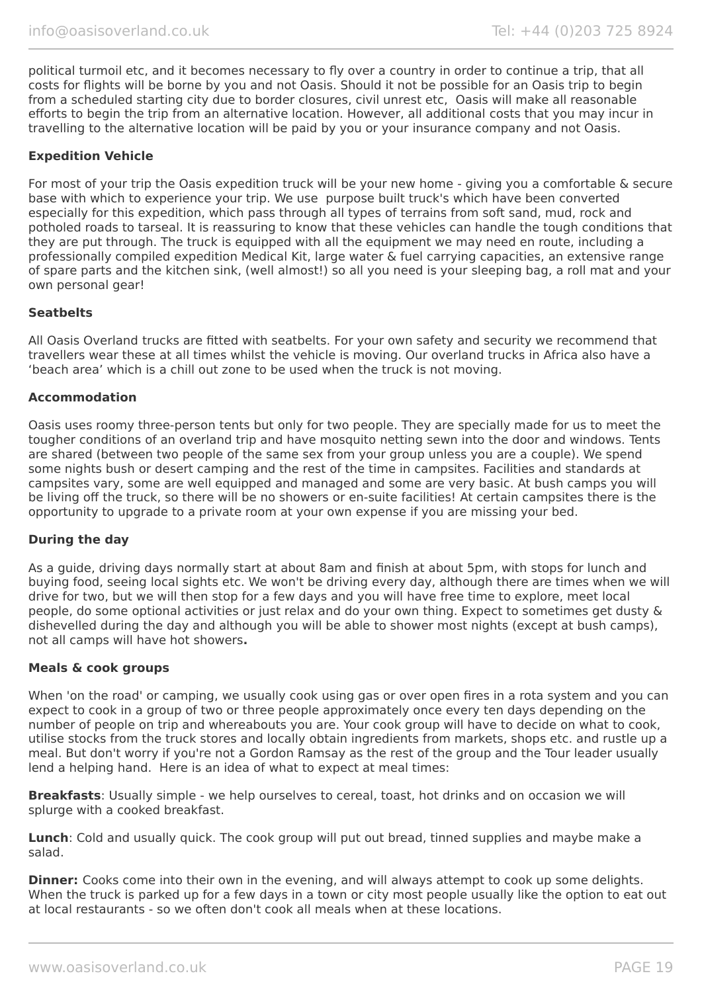political turmoil etc, and it becomes necessary to fly over a country in order to continue a trip, that all costs for flights will be borne by you and not Oasis. Should it not be possible for an Oasis trip to begin from a scheduled starting city due to border closures, civil unrest etc, Oasis will make all reasonable efforts to begin the trip from an alternative location. However, all additional costs that you may incur in travelling to the alternative location will be paid by you or your insurance company and not Oasis.

#### **Expedition Vehicle**

For most of your trip the Oasis expedition truck will be your new home - giving you a comfortable & secure base with which to experience your trip. We use purpose built truck's which have been converted especially for this expedition, which pass through all types of terrains from soft sand, mud, rock and potholed roads to tarseal. It is reassuring to know that these vehicles can handle the tough conditions that they are put through. The truck is equipped with all the equipment we may need en route, including a professionally compiled expedition Medical Kit, large water & fuel carrying capacities, an extensive range of spare parts and the kitchen sink, (well almost!) so all you need is your sleeping bag, a roll mat and your own personal gear!

#### **Seatbelts**

All Oasis Overland trucks are fitted with seatbelts. For your own safety and security we recommend that travellers wear these at all times whilst the vehicle is moving. Our overland trucks in Africa also have a 'beach area' which is a chill out zone to be used when the truck is not moving.

#### **Accommodation**

Oasis uses roomy three-person tents but only for two people. They are specially made for us to meet the tougher conditions of an overland trip and have mosquito netting sewn into the door and windows. Tents are shared (between two people of the same sex from your group unless you are a couple). We spend some nights bush or desert camping and the rest of the time in campsites. Facilities and standards at campsites vary, some are well equipped and managed and some are very basic. At bush camps you will be living off the truck, so there will be no showers or en-suite facilities! At certain campsites there is the opportunity to upgrade to a private room at your own expense if you are missing your bed.

#### **During the day**

As a guide, driving days normally start at about 8am and finish at about 5pm, with stops for lunch and buying food, seeing local sights etc. We won't be driving every day, although there are times when we will drive for two, but we will then stop for a few days and you will have free time to explore, meet local people, do some optional activities or just relax and do your own thing. Expect to sometimes get dusty & dishevelled during the day and although you will be able to shower most nights (except at bush camps), not all camps will have hot showers**.**

#### **Meals & cook groups**

When 'on the road' or camping, we usually cook using gas or over open fires in a rota system and you can expect to cook in a group of two or three people approximately once every ten days depending on the number of people on trip and whereabouts you are. Your cook group will have to decide on what to cook, utilise stocks from the truck stores and locally obtain ingredients from markets, shops etc. and rustle up a meal. But don't worry if you're not a Gordon Ramsay as the rest of the group and the Tour leader usually lend a helping hand. Here is an idea of what to expect at meal times:

**Breakfasts**: Usually simple - we help ourselves to cereal, toast, hot drinks and on occasion we will splurge with a cooked breakfast.

**Lunch**: Cold and usually quick. The cook group will put out bread, tinned supplies and maybe make a salad.

**Dinner:** Cooks come into their own in the evening, and will always attempt to cook up some delights. When the truck is parked up for a few days in a town or city most people usually like the option to eat out at local restaurants - so we often don't cook all meals when at these locations.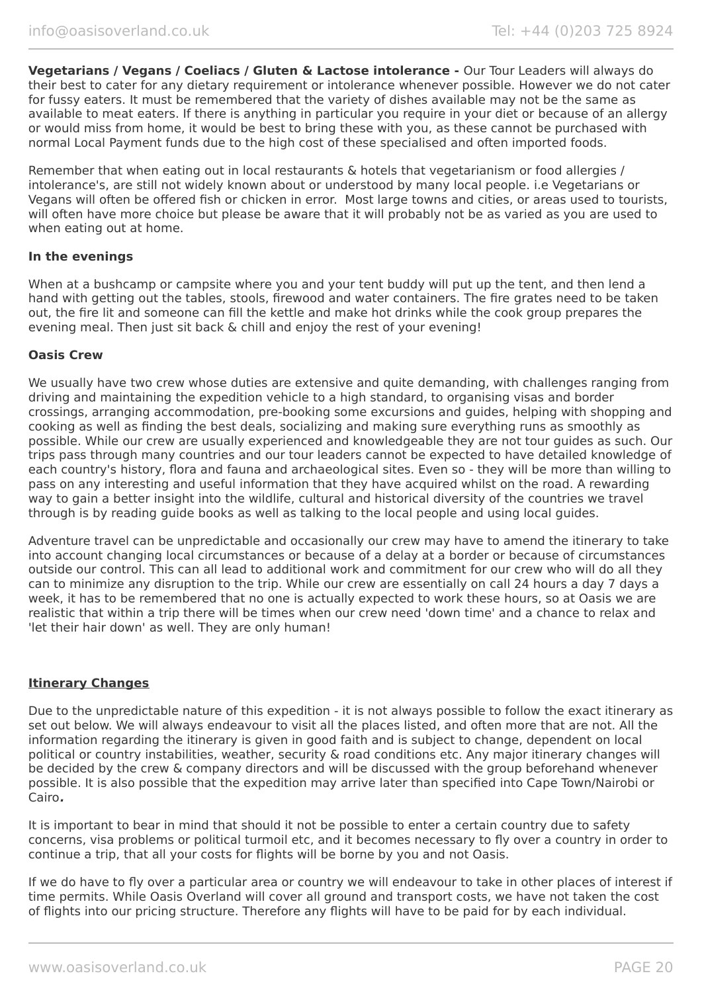**Vegetarians / Vegans / Coeliacs / Gluten & Lactose intolerance -** Our Tour Leaders will always do their best to cater for any dietary requirement or intolerance whenever possible. However we do not cater for fussy eaters. It must be remembered that the variety of dishes available may not be the same as available to meat eaters. If there is anything in particular you require in your diet or because of an allergy or would miss from home, it would be best to bring these with you, as these cannot be purchased with normal Local Payment funds due to the high cost of these specialised and often imported foods.

Remember that when eating out in local restaurants & hotels that vegetarianism or food allergies / intolerance's, are still not widely known about or understood by many local people. i.e Vegetarians or Vegans will often be offered fish or chicken in error. Most large towns and cities, or areas used to tourists, will often have more choice but please be aware that it will probably not be as varied as you are used to when eating out at home.

#### **In the evenings**

When at a bushcamp or campsite where you and your tent buddy will put up the tent, and then lend a hand with getting out the tables, stools, firewood and water containers. The fire grates need to be taken out, the fire lit and someone can fill the kettle and make hot drinks while the cook group prepares the evening meal. Then just sit back & chill and enjoy the rest of your evening!

#### **Oasis Crew**

We usually have two crew whose duties are extensive and quite demanding, with challenges ranging from driving and maintaining the expedition vehicle to a high standard, to organising visas and border crossings, arranging accommodation, pre-booking some excursions and guides, helping with shopping and cooking as well as finding the best deals, socializing and making sure everything runs as smoothly as possible. While our crew are usually experienced and knowledgeable they are not tour guides as such. Our trips pass through many countries and our tour leaders cannot be expected to have detailed knowledge of each country's history, flora and fauna and archaeological sites. Even so - they will be more than willing to pass on any interesting and useful information that they have acquired whilst on the road. A rewarding way to gain a better insight into the wildlife, cultural and historical diversity of the countries we travel through is by reading guide books as well as talking to the local people and using local guides.

Adventure travel can be unpredictable and occasionally our crew may have to amend the itinerary to take into account changing local circumstances or because of a delay at a border or because of circumstances outside our control. This can all lead to additional work and commitment for our crew who will do all they can to minimize any disruption to the trip. While our crew are essentially on call 24 hours a day 7 days a week, it has to be remembered that no one is actually expected to work these hours, so at Oasis we are realistic that within a trip there will be times when our crew need 'down time' and a chance to relax and 'let their hair down' as well. They are only human!

#### **Itinerary Changes**

Due to the unpredictable nature of this expedition - it is not always possible to follow the exact itinerary as set out below. We will always endeavour to visit all the places listed, and often more that are not. All the information regarding the itinerary is given in good faith and is subject to change, dependent on local political or country instabilities, weather, security & road conditions etc. Any major itinerary changes will be decided by the crew & company directors and will be discussed with the group beforehand whenever possible. It is also possible that the expedition may arrive later than specified into Cape Town/Nairobi or Cairo**.**

It is important to bear in mind that should it not be possible to enter a certain country due to safety concerns, visa problems or political turmoil etc, and it becomes necessary to fly over a country in order to continue a trip, that all your costs for flights will be borne by you and not Oasis.

If we do have to fly over a particular area or country we will endeavour to take in other places of interest if time permits. While Oasis Overland will cover all ground and transport costs, we have not taken the cost of flights into our pricing structure. Therefore any flights will have to be paid for by each individual.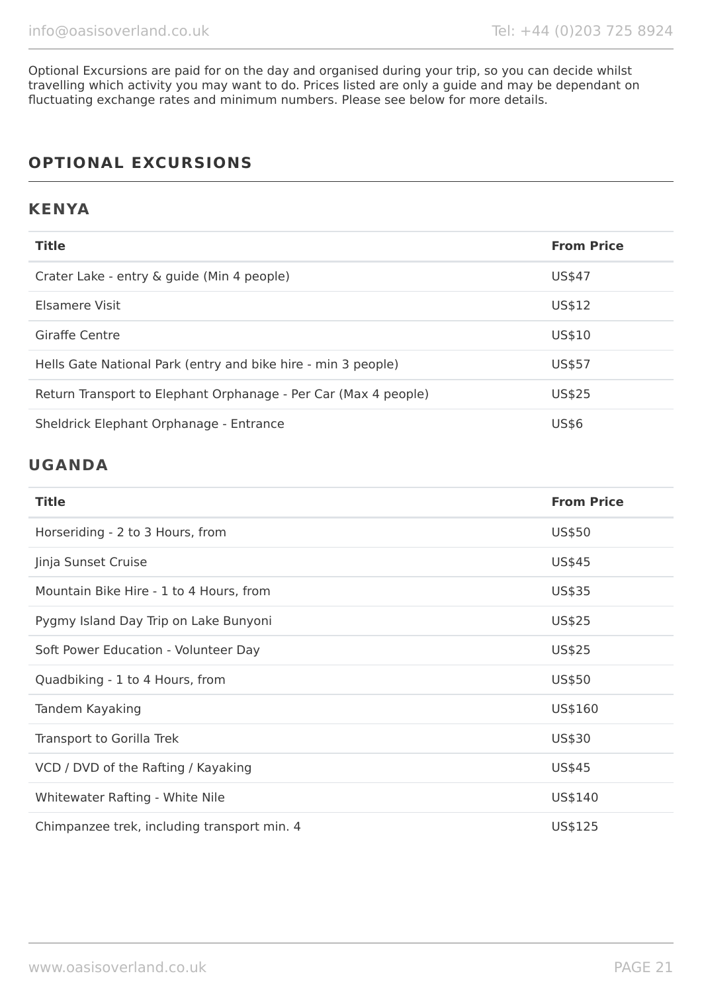Optional Excursions are paid for on the day and organised during your trip, so you can decide whilst travelling which activity you may want to do. Prices listed are only a guide and may be dependant on fluctuating exchange rates and minimum numbers. Please see below for more details.

# **OPTIONAL EXCURSIONS**

### **KENYA**

| <b>Title</b>                                                    | <b>From Price</b> |
|-----------------------------------------------------------------|-------------------|
| Crater Lake - entry & guide (Min 4 people)                      | US\$47            |
| Elsamere Visit                                                  | US\$12            |
| Giraffe Centre                                                  | US\$10            |
| Hells Gate National Park (entry and bike hire - min 3 people)   | US\$57            |
| Return Transport to Elephant Orphanage - Per Car (Max 4 people) | US\$25            |
| Sheldrick Elephant Orphanage - Entrance                         | <b>US\$6</b>      |

# **UGANDA**

| <b>Title</b>                                | <b>From Price</b> |
|---------------------------------------------|-------------------|
| Horseriding - 2 to 3 Hours, from            | US\$50            |
| Jinja Sunset Cruise                         | US\$45            |
| Mountain Bike Hire - 1 to 4 Hours, from     | US\$35            |
| Pygmy Island Day Trip on Lake Bunyoni       | US\$25            |
| Soft Power Education - Volunteer Day        | US\$25            |
| Quadbiking - 1 to 4 Hours, from             | US\$50            |
| Tandem Kayaking                             | US\$160           |
| Transport to Gorilla Trek                   | US\$30            |
| VCD / DVD of the Rafting / Kayaking         | US\$45            |
| Whitewater Rafting - White Nile             | US\$140           |
| Chimpanzee trek, including transport min. 4 | US\$125           |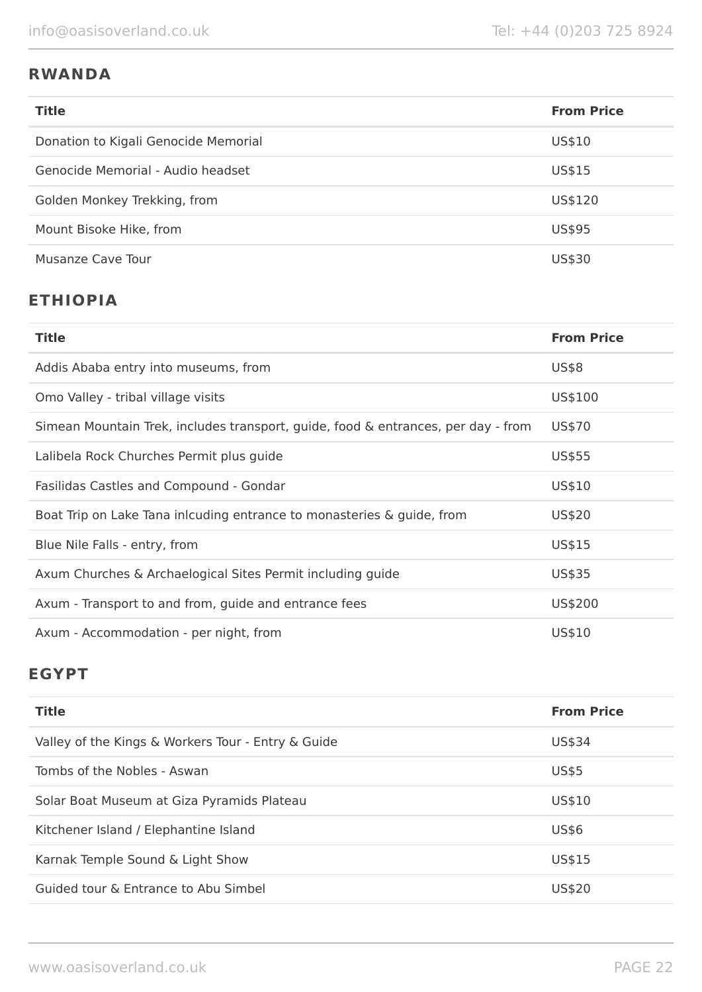# **RWANDA**

| <b>Title</b>                         | <b>From Price</b> |
|--------------------------------------|-------------------|
| Donation to Kigali Genocide Memorial | US\$10            |
| Genocide Memorial - Audio headset    | US\$15            |
| Golden Monkey Trekking, from         | US\$120           |
| Mount Bisoke Hike, from              | US\$95            |
| Musanze Cave Tour                    | US\$30            |

# **ETHIOPIA**

| <b>Title</b>                                                                      | <b>From Price</b> |
|-----------------------------------------------------------------------------------|-------------------|
| Addis Ababa entry into museums, from                                              | <b>US\$8</b>      |
| Omo Valley - tribal village visits                                                | US\$100           |
| Simean Mountain Trek, includes transport, guide, food & entrances, per day - from | US\$70            |
| Lalibela Rock Churches Permit plus guide                                          | US\$55            |
| Fasilidas Castles and Compound - Gondar                                           | US\$10            |
| Boat Trip on Lake Tana inlcuding entrance to monasteries & guide, from            | US\$20            |
| Blue Nile Falls - entry, from                                                     | US\$15            |
| Axum Churches & Archaelogical Sites Permit including guide                        | US\$35            |
| Axum - Transport to and from, guide and entrance fees                             | US\$200           |
| Axum - Accommodation - per night, from                                            | US\$10            |

# **EGYPT**

| <b>Title</b>                                       | <b>From Price</b> |
|----------------------------------------------------|-------------------|
| Valley of the Kings & Workers Tour - Entry & Guide | US\$34            |
| Tombs of the Nobles - Aswan                        | <b>US\$5</b>      |
| Solar Boat Museum at Giza Pyramids Plateau         | US\$10            |
| Kitchener Island / Elephantine Island              | <b>US\$6</b>      |
| Karnak Temple Sound & Light Show                   | US\$15            |
| Guided tour & Entrance to Abu Simbel               | US\$20            |